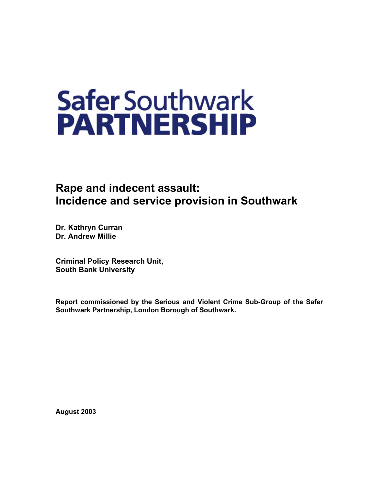# **Safer Southwark PARTNERSHIP**

# **Rape and indecent assault: Incidence and service provision in Southwark**

**Dr. Kathryn Curran Dr. Andrew Millie** 

**Criminal Policy Research Unit, South Bank University**

**Report commissioned by the Serious and Violent Crime Sub-Group of the Safer Southwark Partnership, London Borough of Southwark.** 

**August 2003**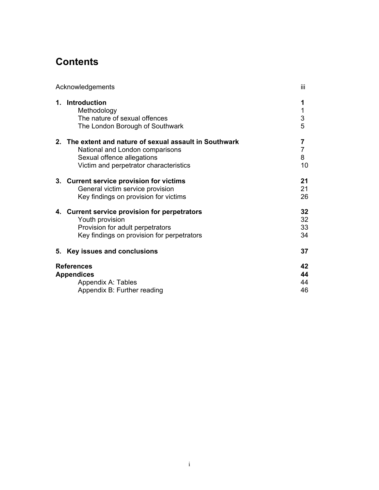# **Contents**

|      | Acknowledgements                                                                                                                                                | iii                            |
|------|-----------------------------------------------------------------------------------------------------------------------------------------------------------------|--------------------------------|
|      | 1. Introduction<br>Methodology<br>The nature of sexual offences<br>The London Borough of Southwark                                                              | 1<br>1<br>3<br>5               |
| $2-$ | The extent and nature of sexual assault in Southwark<br>National and London comparisons<br>Sexual offence allegations<br>Victim and perpetrator characteristics | 7<br>$\overline{7}$<br>8<br>10 |
|      | 3. Current service provision for victims<br>General victim service provision<br>Key findings on provision for victims                                           | 21<br>21<br>26                 |
|      | 4. Current service provision for perpetrators<br>Youth provision<br>Provision for adult perpetrators<br>Key findings on provision for perpetrators              | 32<br>32<br>33<br>34           |
| 5.   | Key issues and conclusions                                                                                                                                      | 37                             |
|      | <b>References</b><br><b>Appendices</b><br>Appendix A: Tables<br>Appendix B: Further reading                                                                     | 42<br>44<br>44<br>46           |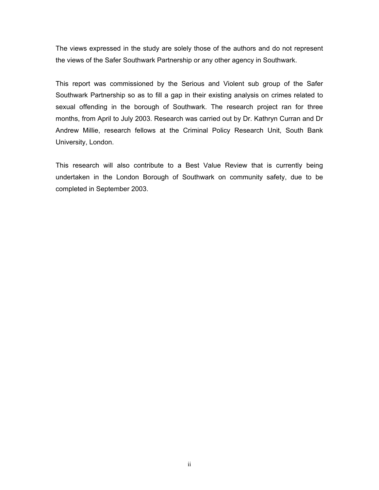The views expressed in the study are solely those of the authors and do not represent the views of the Safer Southwark Partnership or any other agency in Southwark.

This report was commissioned by the Serious and Violent sub group of the Safer Southwark Partnership so as to fill a gap in their existing analysis on crimes related to sexual offending in the borough of Southwark. The research project ran for three months, from April to July 2003. Research was carried out by Dr. Kathryn Curran and Dr Andrew Millie, research fellows at the Criminal Policy Research Unit, South Bank University, London.

This research will also contribute to a Best Value Review that is currently being undertaken in the London Borough of Southwark on community safety, due to be completed in September 2003.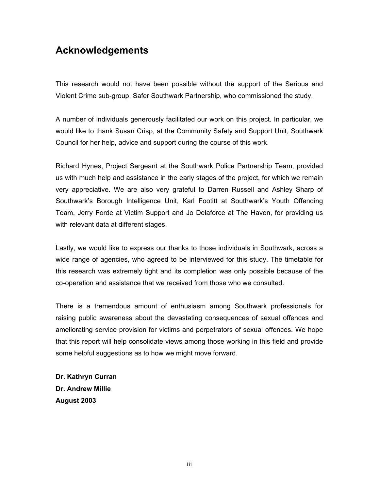# **Acknowledgements**

This research would not have been possible without the support of the Serious and Violent Crime sub-group, Safer Southwark Partnership, who commissioned the study.

A number of individuals generously facilitated our work on this project. In particular, we would like to thank Susan Crisp, at the Community Safety and Support Unit, Southwark Council for her help, advice and support during the course of this work.

Richard Hynes, Project Sergeant at the Southwark Police Partnership Team, provided us with much help and assistance in the early stages of the project, for which we remain very appreciative. We are also very grateful to Darren Russell and Ashley Sharp of Southwark's Borough Intelligence Unit, Karl Footitt at Southwark's Youth Offending Team, Jerry Forde at Victim Support and Jo Delaforce at The Haven, for providing us with relevant data at different stages.

Lastly, we would like to express our thanks to those individuals in Southwark, across a wide range of agencies, who agreed to be interviewed for this study. The timetable for this research was extremely tight and its completion was only possible because of the co-operation and assistance that we received from those who we consulted.

There is a tremendous amount of enthusiasm among Southwark professionals for raising public awareness about the devastating consequences of sexual offences and ameliorating service provision for victims and perpetrators of sexual offences. We hope that this report will help consolidate views among those working in this field and provide some helpful suggestions as to how we might move forward.

**Dr. Kathryn Curran Dr. Andrew Millie August 2003**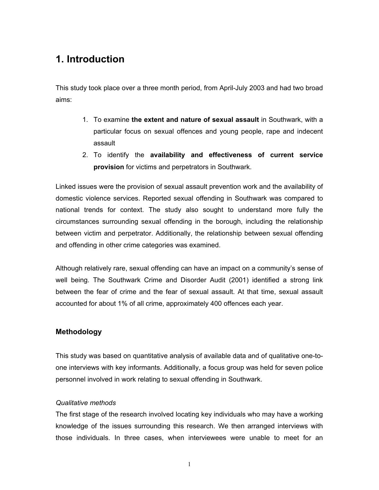# **1. Introduction**

This study took place over a three month period, from April-July 2003 and had two broad aims:

- 1. To examine **the extent and nature of sexual assault** in Southwark, with a particular focus on sexual offences and young people, rape and indecent assault
- 2. To identify the **availability and effectiveness of current service provision** for victims and perpetrators in Southwark.

Linked issues were the provision of sexual assault prevention work and the availability of domestic violence services. Reported sexual offending in Southwark was compared to national trends for context. The study also sought to understand more fully the circumstances surrounding sexual offending in the borough, including the relationship between victim and perpetrator. Additionally, the relationship between sexual offending and offending in other crime categories was examined.

Although relatively rare, sexual offending can have an impact on a community's sense of well being. The Southwark Crime and Disorder Audit (2001) identified a strong link between the fear of crime and the fear of sexual assault. At that time, sexual assault accounted for about 1% of all crime, approximately 400 offences each year.

## **Methodology**

This study was based on quantitative analysis of available data and of qualitative one-toone interviews with key informants. Additionally, a focus group was held for seven police personnel involved in work relating to sexual offending in Southwark.

## *Qualitative methods*

The first stage of the research involved locating key individuals who may have a working knowledge of the issues surrounding this research. We then arranged interviews with those individuals. In three cases, when interviewees were unable to meet for an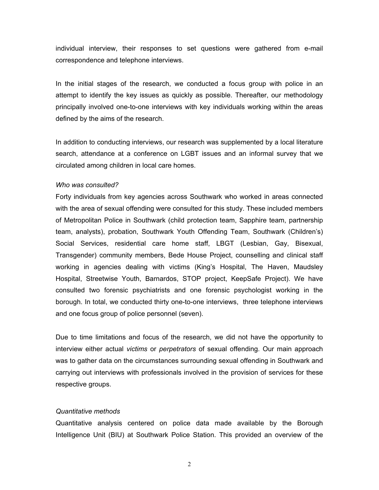individual interview, their responses to set questions were gathered from e-mail correspondence and telephone interviews.

In the initial stages of the research, we conducted a focus group with police in an attempt to identify the key issues as quickly as possible. Thereafter, our methodology principally involved one-to-one interviews with key individuals working within the areas defined by the aims of the research.

In addition to conducting interviews, our research was supplemented by a local literature search, attendance at a conference on LGBT issues and an informal survey that we circulated among children in local care homes.

#### *Who was consulted?*

Forty individuals from key agencies across Southwark who worked in areas connected with the area of sexual offending were consulted for this study. These included members of Metropolitan Police in Southwark (child protection team, Sapphire team, partnership team, analysts), probation, Southwark Youth Offending Team, Southwark (Children's) Social Services, residential care home staff, LBGT (Lesbian, Gay, Bisexual, Transgender) community members, Bede House Project, counselling and clinical staff working in agencies dealing with victims (King's Hospital, The Haven, Maudsley Hospital, Streetwise Youth, Barnardos, STOP project, KeepSafe Project). We have consulted two forensic psychiatrists and one forensic psychologist working in the borough. In total, we conducted thirty one-to-one interviews, three telephone interviews and one focus group of police personnel (seven).

Due to time limitations and focus of the research, we did not have the opportunity to interview either actual *victims* or *perpetrators* of sexual offending. Our main approach was to gather data on the circumstances surrounding sexual offending in Southwark and carrying out interviews with professionals involved in the provision of services for these respective groups.

#### *Quantitative methods*

Quantitative analysis centered on police data made available by the Borough Intelligence Unit (BIU) at Southwark Police Station. This provided an overview of the

2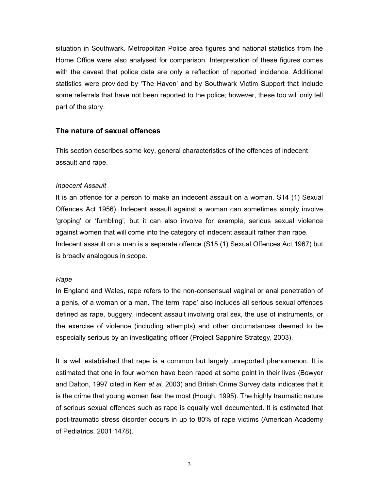situation in Southwark. Metropolitan Police area figures and national statistics from the Home Office were also analysed for comparison. Interpretation of these figures comes with the caveat that police data are only a reflection of reported incidence. Additional statistics were provided by 'The Haven' and by Southwark Victim Support that include some referrals that have not been reported to the police; however, these too will only tell part of the story.

## **The nature of sexual offences**

This section describes some key, general characteristics of the offences of indecent assault and rape.

## *Indecent Assault*

It is an offence for a person to make an indecent assault on a woman. S14 (1) Sexual Offences Act 1956). Indecent assault against a woman can sometimes simply involve 'groping' or 'fumbling', but it can also involve for example, serious sexual violence against women that will come into the category of indecent assault rather than rape. Indecent assault on a man is a separate offence (S15 (1) Sexual Offences Act 1967) but is broadly analogous in scope.

## *Rape*

In England and Wales, rape refers to the non-consensual vaginal or anal penetration of a penis, of a woman or a man. The term 'rape' also includes all serious sexual offences defined as rape, buggery, indecent assault involving oral sex, the use of instruments, or the exercise of violence (including attempts) and other circumstances deemed to be especially serious by an investigating officer (Project Sapphire Strategy, 2003).

It is well established that rape is a common but largely unreported phenomenon. It is estimated that one in four women have been raped at some point in their lives (Bowyer and Dalton, 1997 cited in Kerr *et al,* 2003) and British Crime Survey data indicates that it is the crime that young women fear the most (Hough, 1995). The highly traumatic nature of serious sexual offences such as rape is equally well documented. It is estimated that post-traumatic stress disorder occurs in up to 80% of rape victims (American Academy of Pediatrics, 2001:1478).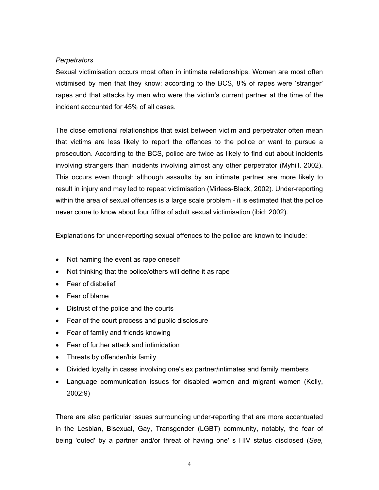## *Perpetrators*

Sexual victimisation occurs most often in intimate relationships. Women are most often victimised by men that they know; according to the BCS, 8% of rapes were 'stranger' rapes and that attacks by men who were the victim's current partner at the time of the incident accounted for 45% of all cases.

The close emotional relationships that exist between victim and perpetrator often mean that victims are less likely to report the offences to the police or want to pursue a prosecution. According to the BCS, police are twice as likely to find out about incidents involving strangers than incidents involving almost any other perpetrator (Myhill, 2002). This occurs even though although assaults by an intimate partner are more likely to result in injury and may led to repeat victimisation (Mirlees-Black, 2002). Under-reporting within the area of sexual offences is a large scale problem - it is estimated that the police never come to know about four fifths of adult sexual victimisation (ibid: 2002).

Explanations for under-reporting sexual offences to the police are known to include:

- Not naming the event as rape oneself
- Not thinking that the police/others will define it as rape
- Fear of disbelief
- Fear of blame
- Distrust of the police and the courts
- Fear of the court process and public disclosure
- Fear of family and friends knowing
- Fear of further attack and intimidation
- Threats by offender/his family
- Divided loyalty in cases involving one's ex partner/intimates and family members
- Language communication issues for disabled women and migrant women (Kelly, 2002:9)

There are also particular issues surrounding under-reporting that are more accentuated in the Lesbian, Bisexual, Gay, Transgender (LGBT) community, notably, the fear of being 'outed' by a partner and/or threat of having one' s HIV status disclosed (*See,*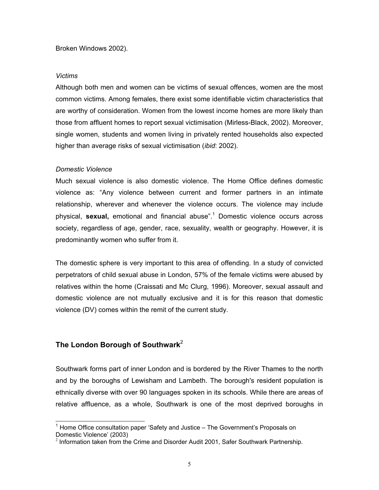Broken Windows 2002).

#### *Victims*

Although both men and women can be victims of sexual offences, women are the most common victims. Among females, there exist some identifiable victim characteristics that are worthy of consideration. Women from the lowest income homes are more likely than those from affluent homes to report sexual victimisation (Mirless-Black, 2002). Moreover, single women, students and women living in privately rented households also expected higher than average risks of sexual victimisation (*ibid*: 2002).

## *Domestic Violence*

Much sexual violence is also domestic violence. The Home Office defines domestic violence as: "Any violence between current and former partners in an intimate relationship, wherever and whenever the violence occurs. The violence may include physical, sexual, emotional and financial abuse".<sup>[1](#page-8-0)</sup> Domestic violence occurs across society, regardless of age, gender, race, sexuality, wealth or geography. However, it is predominantly women who suffer from it.

The domestic sphere is very important to this area of offending. In a study of convicted perpetrators of child sexual abuse in London, 57% of the female victims were abused by relatives within the home (Craissati and Mc Clurg, 1996). Moreover, sexual assault and domestic violence are not mutually exclusive and it is for this reason that domestic violence (DV) comes within the remit of the current study.

## **The London Borough of Southwark**[2](#page-8-1)

Southwark forms part of inner London and is bordered by the River Thames to the north and by the boroughs of Lewisham and Lambeth. The borough's resident population is ethnically diverse with over 90 languages spoken in its schools. While there are areas of relative affluence, as a whole, Southwark is one of the most deprived boroughs in

<span id="page-8-0"></span>1 Home Office consultation paper 'Safety and Justice – The Government's Proposals on Domestic Violence' (2003)

<span id="page-8-1"></span> $<sup>2</sup>$  Information taken from the Crime and Disorder Audit 2001, Safer Southwark Partnership.</sup>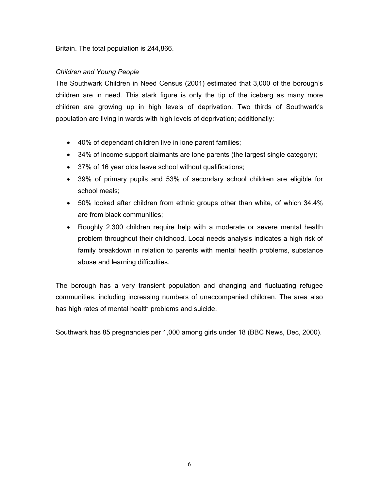Britain. The total population is 244,866.

## *Children and Young People*

The Southwark Children in Need Census (2001) estimated that 3,000 of the borough's children are in need. This stark figure is only the tip of the iceberg as many more children are growing up in high levels of deprivation. Two thirds of Southwark's population are living in wards with high levels of deprivation; additionally:

- 40% of dependant children live in lone parent families;
- 34% of income support claimants are lone parents (the largest single category);
- 37% of 16 year olds leave school without qualifications;
- 39% of primary pupils and 53% of secondary school children are eligible for school meals;
- 50% looked after children from ethnic groups other than white, of which 34.4% are from black communities;
- Roughly 2,300 children require help with a moderate or severe mental health problem throughout their childhood. Local needs analysis indicates a high risk of family breakdown in relation to parents with mental health problems, substance abuse and learning difficulties.

The borough has a very transient population and changing and fluctuating refugee communities, including increasing numbers of unaccompanied children. The area also has high rates of mental health problems and suicide.

Southwark has 85 pregnancies per 1,000 among girls under 18 (BBC News, Dec, 2000).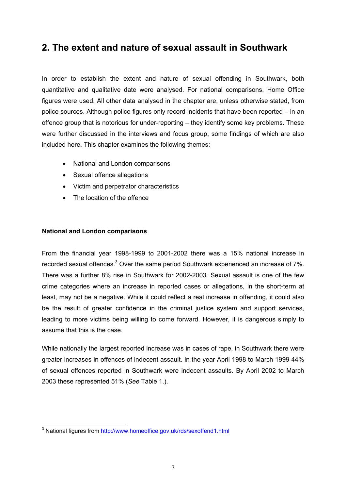# **2. The extent and nature of sexual assault in Southwark**

In order to establish the extent and nature of sexual offending in Southwark, both quantitative and qualitative date were analysed. For national comparisons, Home Office figures were used. All other data analysed in the chapter are, unless otherwise stated, from police sources. Although police figures only record incidents that have been reported – in an offence group that is notorious for under-reporting – they identify some key problems. These were further discussed in the interviews and focus group, some findings of which are also included here. This chapter examines the following themes:

- National and London comparisons
- Sexual offence allegations
- Victim and perpetrator characteristics
- The location of the offence

## **National and London comparisons**

From the financial year 1998-1999 to 2001-2002 there was a 15% national increase in recorded sexual offences.<sup>[3](#page-10-0)</sup> Over the same period Southwark experienced an increase of 7%. There was a further 8% rise in Southwark for 2002-2003. Sexual assault is one of the few crime categories where an increase in reported cases or allegations, in the short-term at least, may not be a negative. While it could reflect a real increase in offending, it could also be the result of greater confidence in the criminal justice system and support services, leading to more victims being willing to come forward. However, it is dangerous simply to assume that this is the case.

While nationally the largest reported increase was in cases of rape, in Southwark there were greater increases in offences of indecent assault. In the year April 1998 to March 1999 44% of sexual offences reported in Southwark were indecent assaults. By April 2002 to March 2003 these represented 51% (*See* Table 1.).

<span id="page-10-0"></span><sup>3&</sup>lt;br><sup>3</sup> National figures from <u>http://www.homeoffice.gov.uk/rds/sexoffend1.html</u>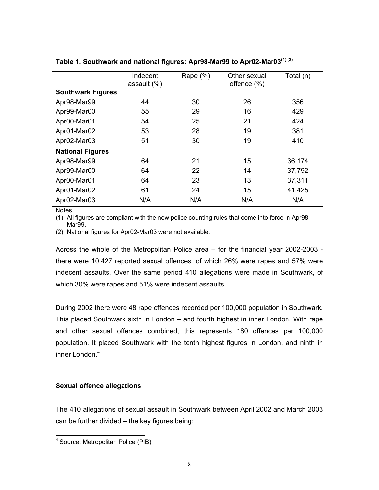|                          | Indecent<br>assault $(\%)$ | Rape $(\%)$ | Other sexual<br>offence (%) | Total (n) |
|--------------------------|----------------------------|-------------|-----------------------------|-----------|
| <b>Southwark Figures</b> |                            |             |                             |           |
| Apr98-Mar99              | 44                         | 30          | 26                          | 356       |
| Apr99-Mar00              | 55                         | 29          | 16                          | 429       |
| Apr00-Mar01              | 54                         | 25          | 21                          | 424       |
| Apr01-Mar02              | 53                         | 28          | 19                          | 381       |
| Apr02-Mar03              | 51                         | 30          | 19                          | 410       |
| <b>National Figures</b>  |                            |             |                             |           |
| Apr98-Mar99              | 64                         | 21          | 15                          | 36,174    |
| Apr99-Mar00              | 64                         | 22          | 14                          | 37,792    |
| Apr00-Mar01              | 64                         | 23          | 13                          | 37,311    |
| Apr01-Mar02              | 61                         | 24          | 15                          | 41,425    |
| Apr02-Mar03              | N/A                        | N/A         | N/A                         | N/A       |

**Table 1. Southwark and national figures: Apr98-Mar99 to Apr02-Mar03(1) (2)**

**Notes** 

(1) All figures are compliant with the new police counting rules that come into force in Apr98- Mar<sub>99</sub>.

(2) National figures for Apr02-Mar03 were not available.

Across the whole of the Metropolitan Police area – for the financial year 2002-2003 there were 10,427 reported sexual offences, of which 26% were rapes and 57% were indecent assaults. Over the same period 410 allegations were made in Southwark, of which 30% were rapes and 51% were indecent assaults.

During 2002 there were 48 rape offences recorded per 100,000 population in Southwark. This placed Southwark sixth in London – and fourth highest in inner London. With rape and other sexual offences combined, this represents 180 offences per 100,000 population. It placed Southwark with the tenth highest figures in London, and ninth in inner London.<sup>[4](#page-11-0)</sup>

## **Sexual offence allegations**

The 410 allegations of sexual assault in Southwark between April 2002 and March 2003 can be further divided – the key figures being:

<span id="page-11-0"></span>4 Source: Metropolitan Police (PIB)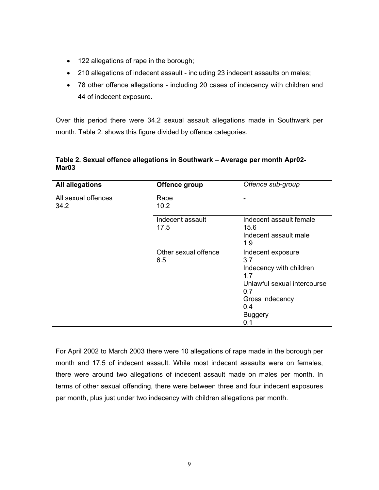- 122 allegations of rape in the borough;
- 210 allegations of indecent assault including 23 indecent assaults on males;
- 78 other offence allegations including 20 cases of indecency with children and 44 of indecent exposure.

Over this period there were 34.2 sexual assault allegations made in Southwark per month. Table 2. shows this figure divided by offence categories.

| <b>All allegations</b>      | Offence group               | Offence sub-group                                                                                                                                   |
|-----------------------------|-----------------------------|-----------------------------------------------------------------------------------------------------------------------------------------------------|
| All sexual offences<br>34.2 | Rape<br>10.2                |                                                                                                                                                     |
|                             | Indecent assault<br>17.5    | Indecent assault female<br>15.6<br>Indecent assault male<br>1.9                                                                                     |
|                             | Other sexual offence<br>6.5 | Indecent exposure<br>3.7<br>Indecency with children<br>1.7<br>Unlawful sexual intercourse<br>0.7<br>Gross indecency<br>0.4<br><b>Buggery</b><br>0.1 |

## **Table 2. Sexual offence allegations in Southwark – Average per month Apr02- Mar03**

For April 2002 to March 2003 there were 10 allegations of rape made in the borough per month and 17.5 of indecent assault. While most indecent assaults were on females, there were around two allegations of indecent assault made on males per month. In terms of other sexual offending, there were between three and four indecent exposures per month, plus just under two indecency with children allegations per month.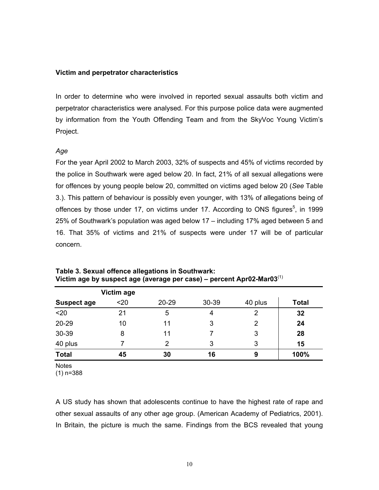#### **Victim and perpetrator characteristics**

In order to determine who were involved in reported sexual assaults both victim and perpetrator characteristics were analysed. For this purpose police data were augmented by information from the Youth Offending Team and from the SkyVoc Young Victim's Project.

## *Age*

For the year April 2002 to March 2003, 32% of suspects and 45% of victims recorded by the police in Southwark were aged below 20. In fact, 21% of all sexual allegations were for offences by young people below 20, committed on victims aged below 20 (*See* Table 3.). This pattern of behaviour is possibly even younger, with 13% of allegations being of offences by those under 17, on victims under 17. According to ONS figures $5$ , in 1999 25% of Southwark's population was aged below 17 – including 17% aged between 5 and 16. That 35% of victims and 21% of suspects were under 17 will be of particular concern.

|                    | Victim age |       |       |         |              |
|--------------------|------------|-------|-------|---------|--------------|
| <b>Suspect age</b> | $20$       | 20-29 | 30-39 | 40 plus | <b>Total</b> |
| $20$               | 21         | 5     | 4     | 2       | 32           |
| 20-29              | 10         | 11    | 3     | 2       | 24           |
| 30-39              | 8          | 11    |       | 3       | 28           |
| 40 plus            |            | 2     | 3     | 3       | 15           |
| <b>Total</b>       | 45         | 30    | 16    | 9       | 100%         |

**Table 3. Sexual offence allegations in Southwark: Victim age by suspect age (average per case) – percent Apr02-Mar03**(1)

**Notes** 

(1) n=388

<span id="page-13-0"></span>A US study has shown that adolescents continue to have the highest rate of rape and other sexual assaults of any other age group. (American Academy of Pediatrics, 2001). In Britain, the picture is much the same. Findings from the BCS revealed that young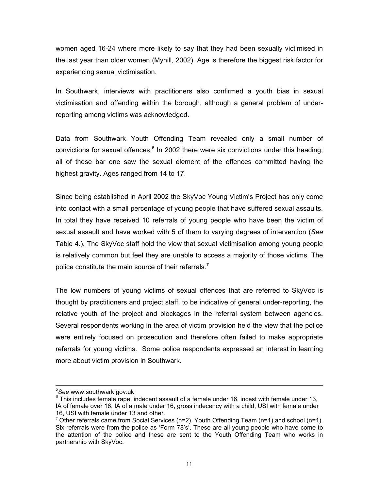women aged 16-24 where more likely to say that they had been sexually victimised in the last year than older women (Myhill, 2002). Age is therefore the biggest risk factor for experiencing sexual victimisation.

In Southwark, interviews with practitioners also confirmed a youth bias in sexual victimisation and offending within the borough, although a general problem of underreporting among victims was acknowledged.

Data from Southwark Youth Offending Team revealed only a small number of convictions for sexual offences.<sup>[6](#page-14-0)</sup> In 2002 there were six convictions under this heading; all of these bar one saw the sexual element of the offences committed having the highest gravity. Ages ranged from 14 to 17.

Since being established in April 2002 the SkyVoc Young Victim's Project has only come into contact with a small percentage of young people that have suffered sexual assaults. In total they have received 10 referrals of young people who have been the victim of sexual assault and have worked with 5 of them to varying degrees of intervention (*See* Table 4.). The SkyVoc staff hold the view that sexual victimisation among young people is relatively common but feel they are unable to access a majority of those victims. The police constitute the main source of their referrals.<sup>[7](#page-14-1)</sup>

The low numbers of young victims of sexual offences that are referred to SkyVoc is thought by practitioners and project staff, to be indicative of general under-reporting, the relative youth of the project and blockages in the referral system between agencies. Several respondents working in the area of victim provision held the view that the police were entirely focused on prosecution and therefore often failed to make appropriate referrals for young victims. Some police respondents expressed an interest in learning more about victim provision in Southwark.

5 *See* www.southwark.gov.uk

<span id="page-14-0"></span> $6$  This includes female rape, indecent assault of a female under 16, incest with female under 13, IA of female over 16, IA of a male under 16, gross indecency with a child, USI with female under 16, USI with female under 13 and other.

<span id="page-14-1"></span><sup>7</sup> Other referrals came from Social Services ( $n=2$ ), Youth Offending Team ( $n=1$ ) and school ( $n=1$ ). Six referrals were from the police as 'Form 78's'. These are all young people who have come to the attention of the police and these are sent to the Youth Offending Team who works in partnership with SkyVoc.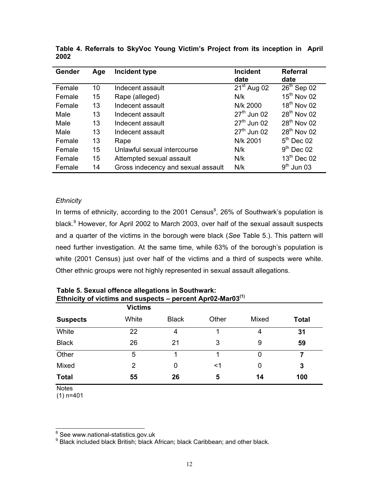| Gender | Age | Incident type                      | <b>Incident</b><br>date | <b>Referral</b><br>date |
|--------|-----|------------------------------------|-------------------------|-------------------------|
| Female | 10  | Indecent assault                   | $21st$ Aug 02           | $26th$ Sep 02           |
| Female | 15  | Rape (alleged)                     | N/k                     | $15th$ Nov 02           |
| Female | 13  | Indecent assault                   | N/k 2000                | $18th$ Nov 02           |
| Male   | 13  | Indecent assault                   | $27th$ Jun 02           | 28 <sup>th</sup> Nov 02 |
| Male   | 13  | Indecent assault                   | $27th$ Jun 02           | $28th$ Nov 02           |
| Male   | 13  | Indecent assault                   | $27th$ Jun 02           | $28th$ Nov 02           |
| Female | 13  | Rape                               | N/k 2001                | $5th$ Dec 02            |
| Female | 15  | Unlawful sexual intercourse        | N/k                     | $9th$ Dec 02            |
| Female | 15  | Attempted sexual assault           | N/k                     | $13th$ Dec 02           |
| Female | 14  | Gross indecency and sexual assault | N/k                     | $9th$ Jun 03            |

**Table 4. Referrals to SkyVoc Young Victim's Project from its inception in April 2002** 

## *Ethnicity*

In terms of ethnicity, according to the 2001 Census $8$ , 26% of Southwark's population is black.<sup>[9](#page-15-1)</sup> However, for April 2002 to March 2003, over half of the sexual assault suspects and a quarter of the victims in the borough were black (*See* Table 5.). This pattern will need further investigation. At the same time, while 63% of the borough's population is white (2001 Census) just over half of the victims and a third of suspects were white. Other ethnic groups were not highly represented in sexual assault allegations.

|                 | <b>Victims</b> |              |       |       |              |
|-----------------|----------------|--------------|-------|-------|--------------|
| <b>Suspects</b> | White          | <b>Black</b> | Other | Mixed | <b>Total</b> |
| White           | 22             | 4            |       | 4     | 31           |
| <b>Black</b>    | 26             | 21           | 3     | 9     | 59           |
| Other           | 5              |              |       | 0     |              |
| Mixed           | 2              | 0            | <1    | 0     | 3            |
| <b>Total</b>    | 55             | 26           | 5     | 14    | 100          |

**Table 5. Sexual offence allegations in Southwark: Ethnicity of victims and suspects – percent Apr02-Mar03(1)**

**Notes** 

(1) n=401

<span id="page-15-1"></span>**Black included black British; black African; black Caribbean; and other black.** 

<span id="page-15-0"></span><sup>-&</sup>lt;br>8  $^8$  See www.national-statistics.gov.uk<br><sup>9</sup> Black included black British: black *(*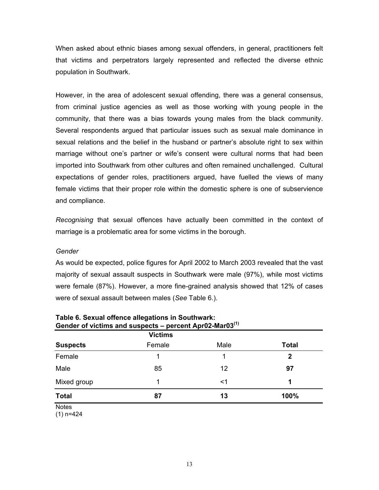When asked about ethnic biases among sexual offenders, in general, practitioners felt that victims and perpetrators largely represented and reflected the diverse ethnic population in Southwark.

However, in the area of adolescent sexual offending, there was a general consensus, from criminal justice agencies as well as those working with young people in the community, that there was a bias towards young males from the black community. Several respondents argued that particular issues such as sexual male dominance in sexual relations and the belief in the husband or partner's absolute right to sex within marriage without one's partner or wife's consent were cultural norms that had been imported into Southwark from other cultures and often remained unchallenged. Cultural expectations of gender roles, practitioners argued, have fuelled the views of many female victims that their proper role within the domestic sphere is one of subservience and compliance.

*Recognising* that sexual offences have actually been committed in the context of marriage is a problematic area for some victims in the borough.

## *Gender*

As would be expected, police figures for April 2002 to March 2003 revealed that the vast majority of sexual assault suspects in Southwark were male (97%), while most victims were female (87%). However, a more fine-grained analysis showed that 12% of cases were of sexual assault between males (*See* Table 6.).

|                 | <b>Victims</b> |      |              |
|-----------------|----------------|------|--------------|
| <b>Suspects</b> | Female         | Male | <b>Total</b> |
| Female          |                | 1    | $\mathbf{2}$ |
| Male            | 85             | 12   | 97           |
| Mixed group     | 1              | <1   | 1            |
| <b>Total</b>    | 87             | 13   | 100%         |
| <b>Notes</b>    |                |      |              |

#### **Table 6. Sexual offence allegations in Southwark: Gender of victims and suspects – percent Apr02-Mar03(1)**

(1) n=424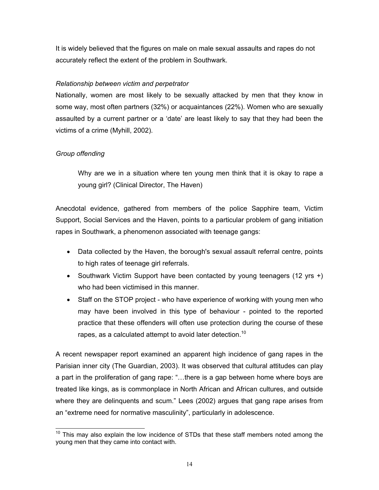It is widely believed that the figures on male on male sexual assaults and rapes do not accurately reflect the extent of the problem in Southwark.

## *Relationship between victim and perpetrator*

Nationally, women are most likely to be sexually attacked by men that they know in some way, most often partners (32%) or acquaintances (22%). Women who are sexually assaulted by a current partner or a 'date' are least likely to say that they had been the victims of a crime (Myhill, 2002).

## *Group offending*

Why are we in a situation where ten young men think that it is okay to rape a young girl? (Clinical Director, The Haven)

Anecdotal evidence, gathered from members of the police Sapphire team, Victim Support, Social Services and the Haven, points to a particular problem of gang initiation rapes in Southwark, a phenomenon associated with teenage gangs:

- Data collected by the Haven, the borough's sexual assault referral centre, points to high rates of teenage girl referrals.
- Southwark Victim Support have been contacted by young teenagers (12 yrs +) who had been victimised in this manner.
- Staff on the STOP project who have experience of working with young men who may have been involved in this type of behaviour - pointed to the reported practice that these offenders will often use protection during the course of these rapes, as a calculated attempt to avoid later detection.<sup>10</sup>

A recent newspaper report examined an apparent high incidence of gang rapes in the Parisian inner city (The Guardian, 2003). It was observed that cultural attitudes can play a part in the proliferation of gang rape: "…there is a gap between home where boys are treated like kings, as is commonplace in North African and African cultures, and outside where they are delinquents and scum." Lees (2002) argues that gang rape arises from an "extreme need for normative masculinity", particularly in adolescence.

<span id="page-17-0"></span> $10$  This may also explain the low incidence of STDs that these staff members noted among the young men that they came into contact with.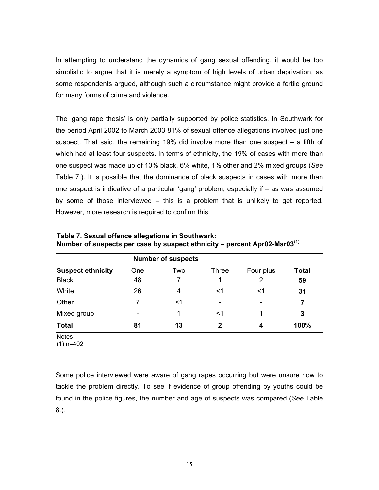In attempting to understand the dynamics of gang sexual offending, it would be too simplistic to argue that it is merely a symptom of high levels of urban deprivation, as some respondents argued, although such a circumstance might provide a fertile ground for many forms of crime and violence.

The 'gang rape thesis' is only partially supported by police statistics. In Southwark for the period April 2002 to March 2003 81% of sexual offence allegations involved just one suspect. That said, the remaining 19% did involve more than one suspect – a fifth of which had at least four suspects. In terms of ethnicity, the 19% of cases with more than one suspect was made up of 10% black, 6% white, 1% other and 2% mixed groups (*See*  Table 7.). It is possible that the dominance of black suspects in cases with more than one suspect is indicative of a particular 'gang' problem, especially if – as was assumed by some of those interviewed – this is a problem that is unlikely to get reported. However, more research is required to confirm this.

| <b>Suspect ethnicity</b> | One                      | Two | Three       | Four plus | <b>Total</b> |
|--------------------------|--------------------------|-----|-------------|-----------|--------------|
| <b>Black</b>             | 48                       | 7   |             | 2         | 59           |
| White                    | 26                       | 4   | <1          | <1        | 31           |
| Other                    |                          | <1  | -           | -         |              |
| Mixed group              | $\overline{\phantom{0}}$ | 1   | <1          |           | 3            |
| <b>Total</b>             | 81                       | 13  | $\mathbf 2$ | 4         | 100%         |

**Table 7. Sexual offence allegations in Southwark: Number of suspects per case by suspect ethnicity – percent Apr02-Mar03**(1)

**Notes** 

(1) n=402

Some police interviewed were aware of gang rapes occurring but were unsure how to tackle the problem directly. To see if evidence of group offending by youths could be found in the police figures, the number and age of suspects was compared (*See* Table 8.).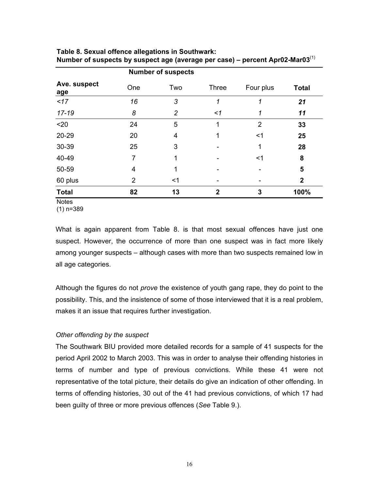|                     |                | <b>Number of suspects</b> |              |           |              |  |  |  |
|---------------------|----------------|---------------------------|--------------|-----------|--------------|--|--|--|
| Ave. suspect<br>age | One            | Two                       | <b>Three</b> | Four plus | <b>Total</b> |  |  |  |
| 17                  | 16             | 3                         | 1            | 1         | 21           |  |  |  |
| $17 - 19$           | 8              | $\overline{c}$            | $\leq$ 1     | 1         | 11           |  |  |  |
| $20$                | 24             | 5                         | 1            | 2         | 33           |  |  |  |
| 20-29               | 20             | 4                         |              | <1        | 25           |  |  |  |
| 30-39               | 25             | 3                         |              | 1         | 28           |  |  |  |
| 40-49               | 7              | 1                         |              | $<$ 1     | 8            |  |  |  |
| 50-59               | 4              |                           |              |           | 5            |  |  |  |
| 60 plus             | $\overline{2}$ | $<$ 1                     |              |           | $\mathbf{2}$ |  |  |  |
| <b>Total</b>        | 82             | 13                        | $\mathbf{2}$ | 3         | 100%         |  |  |  |
| <b>Notes</b>        |                |                           |              |           |              |  |  |  |

**Table 8. Sexual offence allegations in Southwark: Number of suspects by suspect age (average per case) – percent Apr02-Mar03**(1)

(1) n=389

What is again apparent from Table 8. is that most sexual offences have just one suspect. However, the occurrence of more than one suspect was in fact more likely among younger suspects – although cases with more than two suspects remained low in all age categories.

Although the figures do not *prove* the existence of youth gang rape, they do point to the possibility. This, and the insistence of some of those interviewed that it is a real problem, makes it an issue that requires further investigation.

## *Other offending by the suspect*

The Southwark BIU provided more detailed records for a sample of 41 suspects for the period April 2002 to March 2003. This was in order to analyse their offending histories in terms of number and type of previous convictions. While these 41 were not representative of the total picture, their details do give an indication of other offending. In terms of offending histories, 30 out of the 41 had previous convictions, of which 17 had been guilty of three or more previous offences (*See* Table 9.).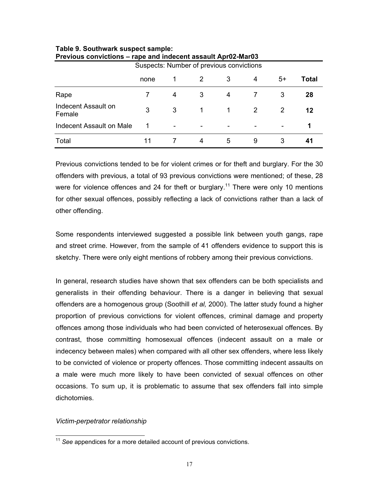| Suspects: Number of previous convictions |      |   |   |   |   |      |       |
|------------------------------------------|------|---|---|---|---|------|-------|
|                                          | none |   |   | 3 | 4 | $5+$ | Total |
| Rape                                     |      | 4 | 3 | 4 |   | 3    | 28    |
| Indecent Assault on<br>Female            | 3    | 3 | 1 | 1 | 2 | 2    | 12    |
| Indecent Assault on Male                 |      | - |   | - |   |      | 1     |
| Total                                    | 11   |   | 4 | 5 | 9 | 3    | 41    |

#### **Table 9. Southwark suspect sample: Previous convictions – rape and indecent assault Apr02-Mar03**

Previous convictions tended to be for violent crimes or for theft and burglary. For the 30 offenders with previous, a total of 93 previous convictions were mentioned; of these, 28 were for violence offences and 24 for theft or burglary.<sup>11</sup> There were only 10 mentions for other sexual offences, possibly reflecting a lack of convictions rather than a lack of other offending.

Some respondents interviewed suggested a possible link between youth gangs, rape and street crime. However, from the sample of 41 offenders evidence to support this is sketchy. There were only eight mentions of robbery among their previous convictions.

In general, research studies have shown that sex offenders can be both specialists and generalists in their offending behaviour. There is a danger in believing that sexual offenders are a homogenous group (Soothill *et al,* 2000). The latter study found a higher proportion of previous convictions for violent offences, criminal damage and property offences among those individuals who had been convicted of heterosexual offences. By contrast, those committing homosexual offences (indecent assault on a male or indecency between males) when compared with all other sex offenders, where less likely to be convicted of violence or property offences. Those committing indecent assaults on a male were much more likely to have been convicted of sexual offences on other occasions. To sum up, it is problematic to assume that sex offenders fall into simple dichotomies.

## *Victim-perpetrator relationship*

<span id="page-20-0"></span><sup>11</sup> *See* appendices for a more detailed account of previous convictions.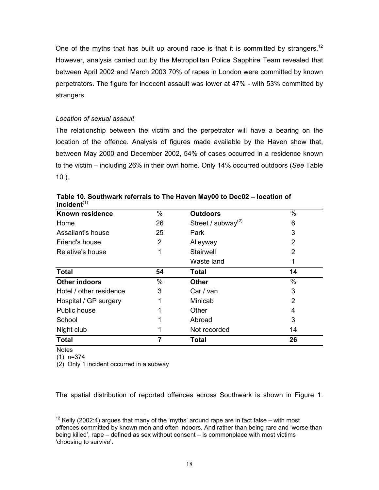One of the myths that has built up around rape is that it is committed by strangers.<sup>12</sup> However, analysis carried out by the Metropolitan Police Sapphire Team revealed that between April 2002 and March 2003 70% of rapes in London were committed by known perpetrators. The figure for indecent assault was lower at 47% - with 53% committed by strangers.

## *Location of sexual assault*

The relationship between the victim and the perpetrator will have a bearing on the location of the offence. Analysis of figures made available by the Haven show that, between May 2000 and December 2002, 54% of cases occurred in a residence known to the victim – including 26% in their own home. Only 14% occurred outdoors (*See* Table 10.).

| 1116146111              |      |                          |                |
|-------------------------|------|--------------------------|----------------|
| Known residence         | $\%$ | <b>Outdoors</b>          | $\%$           |
| Home                    | 26   | Street / subway $^{(2)}$ | 6              |
| Assailant's house       | 25   | Park                     | 3              |
| Friend's house          | 2    | Alleyway                 | $\overline{2}$ |
| Relative's house        |      | Stairwell                | 2              |
|                         |      | Waste land               | 1              |
| <b>Total</b>            | 54   | Total                    | 14             |
| <b>Other indoors</b>    | $\%$ | <b>Other</b>             | $\%$           |
| Hotel / other residence | 3    | Car / van                | 3              |
| Hospital / GP surgery   |      | Minicab                  | 2              |
| Public house            |      | Other                    | 4              |
| School                  |      | Abroad                   | 3              |
| Night club              |      | Not recorded             | 14             |
| <b>Total</b>            | 7    | <b>Total</b>             | 26             |

**Table 10. Southwark referrals to The Haven May00 to Dec02 – location of incident**(1)

**Notes** 

(1) n=374

(2) Only 1 incident occurred in a subway

The spatial distribution of reported offences across Southwark is shown in Figure 1.

<span id="page-21-0"></span> $12$  Kelly (2002:4) argues that many of the 'myths' around rape are in fact false – with most offences committed by known men and often indoors. And rather than being rare and 'worse than being killed', rape – defined as sex without consent – is commonplace with most victims 'choosing to survive'.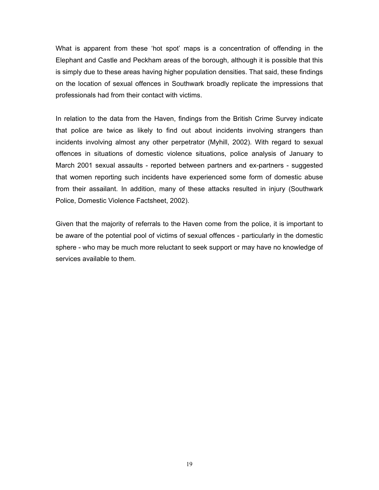What is apparent from these 'hot spot' maps is a concentration of offending in the Elephant and Castle and Peckham areas of the borough, although it is possible that this is simply due to these areas having higher population densities. That said, these findings on the location of sexual offences in Southwark broadly replicate the impressions that professionals had from their contact with victims.

In relation to the data from the Haven, findings from the British Crime Survey indicate that police are twice as likely to find out about incidents involving strangers than incidents involving almost any other perpetrator (Myhill, 2002). With regard to sexual offences in situations of domestic violence situations, police analysis of January to March 2001 sexual assaults - reported between partners and ex-partners - suggested that women reporting such incidents have experienced some form of domestic abuse from their assailant. In addition, many of these attacks resulted in injury (Southwark Police, Domestic Violence Factsheet, 2002).

Given that the majority of referrals to the Haven come from the police, it is important to be aware of the potential pool of victims of sexual offences - particularly in the domestic sphere - who may be much more reluctant to seek support or may have no knowledge of services available to them.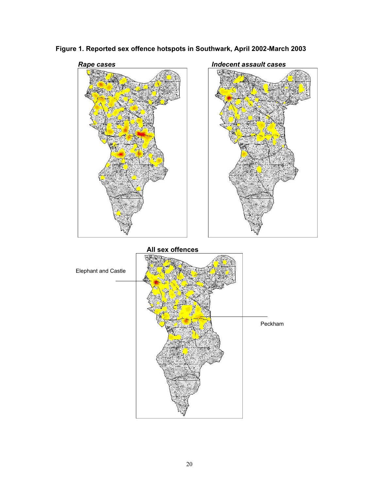

**Figure 1. Reported sex offence hotspots in Southwark, April 2002-March 2003**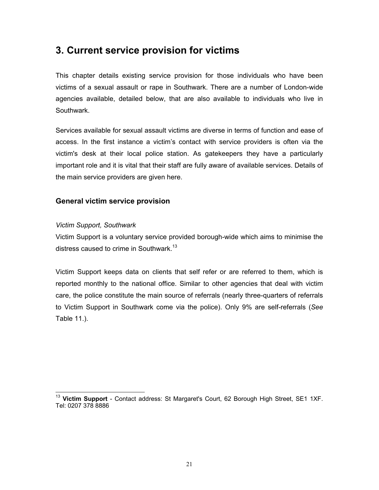# **3. Current service provision for victims**

This chapter details existing service provision for those individuals who have been victims of a sexual assault or rape in Southwark. There are a number of London-wide agencies available, detailed below, that are also available to individuals who live in Southwark.

Services available for sexual assault victims are diverse in terms of function and ease of access. In the first instance a victim's contact with service providers is often via the victim's desk at their local police station. As gatekeepers they have a particularly important role and it is vital that their staff are fully aware of available services. Details of the main service providers are given here.

## **General victim service provision**

## *Victim Support, Southwark*

Victim Support is a voluntary service provided borough-wide which aims to minimise the distress caused to crime in Southwark.<sup>13</sup>

Victim Support keeps data on clients that self refer or are referred to them, which is reported monthly to the national office. Similar to other agencies that deal with victim care, the police constitute the main source of referrals (nearly three-quarters of referrals to Victim Support in Southwark come via the police). Only 9% are self-referrals (*See* Table 11.).

<span id="page-24-0"></span><sup>&</sup>lt;sup>13</sup> Victim Support - Contact address: St Margaret's Court, 62 Borough High Street, SE1 1XF. Tel: 0207 378 8886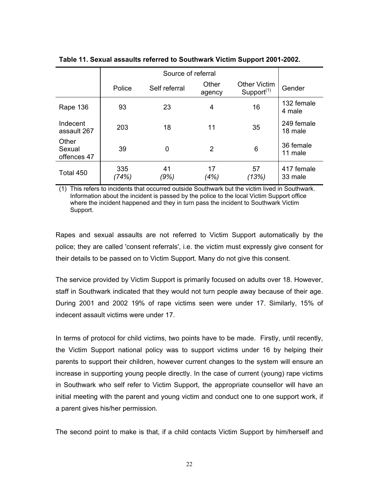|                                | Police       | Self referral | Other<br>agency | <b>Other Victim</b><br>Support $(1)$ | Gender                |
|--------------------------------|--------------|---------------|-----------------|--------------------------------------|-----------------------|
| Rape 136                       | 93           | 23            | 4               | 16                                   | 132 female<br>4 male  |
| Indecent<br>assault 267        | 203          | 18            | 11              | 35                                   | 249 female<br>18 male |
| Other<br>Sexual<br>offences 47 | 39           | 0             | 2               | 6                                    | 36 female<br>11 male  |
| Total 450                      | 335<br>(74%) | 41<br>'9%)    | 17<br>(4%)      | 57<br>(13%)                          | 417 female<br>33 male |

**Table 11. Sexual assaults referred to Southwark Victim Support 2001-2002.** 

(1) This refers to incidents that occurred outside Southwark but the victim lived in Southwark. Information about the incident is passed by the police to the local Victim Support office where the incident happened and they in turn pass the incident to Southwark Victim Support.

Rapes and sexual assaults are not referred to Victim Support automatically by the police; they are called 'consent referrals', i.e. the victim must expressly give consent for their details to be passed on to Victim Support. Many do not give this consent.

The service provided by Victim Support is primarily focused on adults over 18. However, staff in Southwark indicated that they would not turn people away because of their age. During 2001 and 2002 19% of rape victims seen were under 17. Similarly, 15% of indecent assault victims were under 17.

In terms of protocol for child victims, two points have to be made. Firstly, until recently, the Victim Support national policy was to support victims under 16 by helping their parents to support their children, however current changes to the system will ensure an increase in supporting young people directly. In the case of current (young) rape victims in Southwark who self refer to Victim Support, the appropriate counsellor will have an initial meeting with the parent and young victim and conduct one to one support work, if a parent gives his/her permission.

The second point to make is that, if a child contacts Victim Support by him/herself and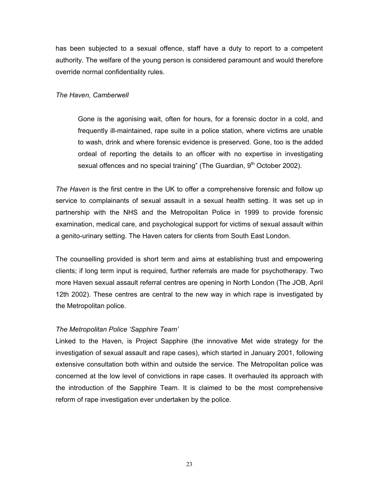has been subjected to a sexual offence, staff have a duty to report to a competent authority. The welfare of the young person is considered paramount and would therefore override normal confidentiality rules.

## *The Haven, Camberwell*

Gone is the agonising wait, often for hours, for a forensic doctor in a cold, and frequently ill-maintained, rape suite in a police station, where victims are unable to wash, drink and where forensic evidence is preserved. Gone, too is the added ordeal of reporting the details to an officer with no expertise in investigating sexual offences and no special training" (The Guardian,  $9<sup>th</sup>$  October 2002).

*The Haven* is the first centre in the UK to offer a comprehensive forensic and follow up service to complainants of sexual assault in a sexual health setting. It was set up in partnership with the NHS and the Metropolitan Police in 1999 to provide forensic examination, medical care, and psychological support for victims of sexual assault within a genito-urinary setting. The Haven caters for clients from South East London.

The counselling provided is short term and aims at establishing trust and empowering clients; if long term input is required, further referrals are made for psychotherapy. Two more Haven sexual assault referral centres are opening in North London (The JOB, April 12th 2002). These centres are central to the new way in which rape is investigated by the Metropolitan police.

## *The Metropolitan Police 'Sapphire Team'*

Linked to the Haven, is Project Sapphire (the innovative Met wide strategy for the investigation of sexual assault and rape cases), which started in January 2001, following extensive consultation both within and outside the service. The Metropolitan police was concerned at the low level of convictions in rape cases. It overhauled its approach with the introduction of the Sapphire Team. It is claimed to be the most comprehensive reform of rape investigation ever undertaken by the police.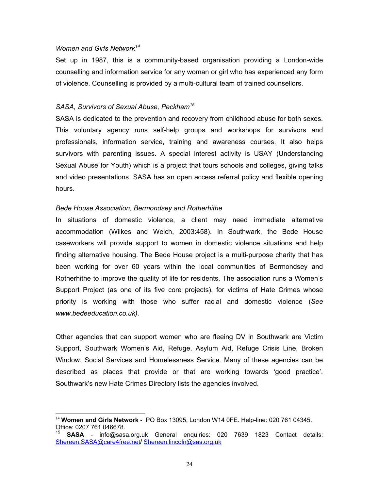#### *Women and Girls Network[14](#page-27-0)*

Set up in 1987, this is a community-based organisation providing a London-wide counselling and information service for any woman or girl who has experienced any form of violence. Counselling is provided by a multi-cultural team of trained counsellors.

#### *SASA, Survivors of Sexual Abuse, Peckha[m15](#page-27-1)*

SASA is dedicated to the prevention and recovery from childhood abuse for both sexes. This voluntary agency runs self-help groups and workshops for survivors and professionals, information service, training and awareness courses. It also helps survivors with parenting issues. A special interest activity is USAY (Understanding Sexual Abuse for Youth) which is a project that tours schools and colleges, giving talks and video presentations. SASA has an open access referral policy and flexible opening hours.

#### *Bede House Association, Bermondsey and Rotherhithe*

In situations of domestic violence, a client may need immediate alternative accommodation (Wilkes and Welch, 2003:458). In Southwark, the Bede House caseworkers will provide support to women in domestic violence situations and help finding alternative housing. The Bede House project is a multi-purpose charity that has been working for over 60 years within the local communities of Bermondsey and Rotherhithe to improve the quality of life for residents. The association runs a Women's Support Project (as one of its five core projects), for victims of Hate Crimes whose priority is working with those who suffer racial and domestic violence (*See www.bedeeducation.co.uk).*

Other agencies that can support women who are fleeing DV in Southwark are Victim Support, Southwark Women's Aid, Refuge, Asylum Aid, Refuge Crisis Line, Broken Window, Social Services and Homelessness Service. Many of these agencies can be described as places that provide or that are working towards 'good practice'. Southwark's new Hate Crimes Directory lists the agencies involved.

<span id="page-27-0"></span> <sup>14</sup> **Women and Girls Network** - PO Box 13095, London W14 0FE. Help-line: 020 761 04345. Office: 0207 761 046678.

<span id="page-27-1"></span><sup>15</sup> **SASA** - info@sasa.org.uk General enquiries: 020 7639 1823 Contact details: Shereen.SASA@care4free.net**/** Shereen.lincoln@sas.org.uk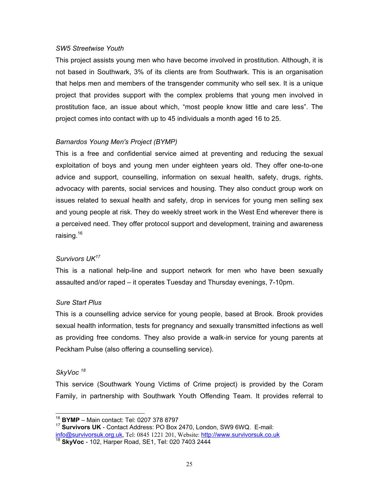#### *SW5 Streetwise Youth*

This project assists young men who have become involved in prostitution. Although, it is not based in Southwark, 3% of its clients are from Southwark. This is an organisation that helps men and members of the transgender community who sell sex. It is a unique project that provides support with the complex problems that young men involved in prostitution face, an issue about which, "most people know little and care less". The project comes into contact with up to 45 individuals a month aged 16 to 25.

## *Barnardos Young Men's Project (BYMP)*

This is a free and confidential service aimed at preventing and reducing the sexual exploitation of boys and young men under eighteen years old. They offer one-to-one advice and support, counselling, information on sexual health, safety, drugs, rights, advocacy with parents, social services and housing. They also conduct group work on issues related to sexual health and safety, drop in services for young men selling sex and young people at risk. They do weekly street work in the West End wherever there is a perceived need. They offer protocol support and development, training and awareness raising.<sup>16</sup>

## *Survivors UK[17](#page-28-1)*

This is a national help-line and support network for men who have been sexually assaulted and/or raped – it operates Tuesday and Thursday evenings, 7-10pm.

## *Sure Start Plus*

This is a counselling advice service for young people, based at Brook. Brook provides sexual health information, tests for pregnancy and sexually transmitted infections as well as providing free condoms. They also provide a walk-in service for young parents at Peckham Pulse (also offering a counselling service).

## *SkyVoc [18](#page-28-2)*

This service (Southwark Young Victims of Crime project) is provided by the Coram Family, in partnership with Southwark Youth Offending Team. It provides referral to

<span id="page-28-0"></span><sup>16</sup> **BYMP** – Main contact: Tel: 0207 378 8797

<span id="page-28-1"></span><sup>17</sup> **Survivors UK** - Contact Address: PO Box 2470, London, SW9 6WQ. E-mail: info@survivorsuk.org.uk, Tel: 0845 1221 201, Website: http://www.survivorsuk.co.uk

<span id="page-28-2"></span><sup>18</sup> **SkyVoc** - 102, Harper Road, SE1, Tel: 020 7403 2444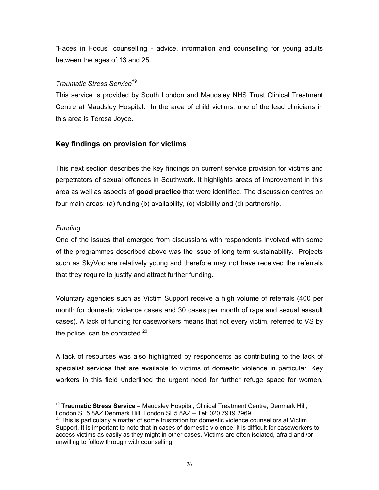"Faces in Focus" counselling - advice, information and counselling for young adults between the ages of 13 and 25.

## *Traumatic Stress Service[19](#page-29-0)*

This service is provided by South London and Maudsley NHS Trust Clinical Treatment Centre at Maudsley Hospital. In the area of child victims, one of the lead clinicians in this area is Teresa Joyce.

## **Key findings on provision for victims**

This next section describes the key findings on current service provision for victims and perpetrators of sexual offences in Southwark. It highlights areas of improvement in this area as well as aspects of **good practice** that were identified. The discussion centres on four main areas: (a) funding (b) availability, (c) visibility and (d) partnership.

## *Funding*

One of the issues that emerged from discussions with respondents involved with some of the programmes described above was the issue of long term sustainability. Projects such as SkyVoc are relatively young and therefore may not have received the referrals that they require to justify and attract further funding.

Voluntary agencies such as Victim Support receive a high volume of referrals (400 per month for domestic violence cases and 30 cases per month of rape and sexual assault cases). A lack of funding for caseworkers means that not every victim, referred to VS by the police, can be contacted. $20$ 

A lack of resources was also highlighted by respondents as contributing to the lack of specialist services that are available to victims of domestic violence in particular. Key workers in this field underlined the urgent need for further refuge space for women,

<span id="page-29-0"></span> $\overline{a}$ **<sup>19</sup> Traumatic Stress Service** – Maudsley Hospital, Clinical Treatment Centre, Denmark Hill, London SE5 8AZ Denmark Hill, London SE5 8AZ – Tel: 020 7919 2969

<span id="page-29-1"></span> $20$  This is particularly a matter of some frustration for domestic violence counsellors at Victim Support. It is important to note that in cases of domestic violence, it is difficult for caseworkers to access victims as easily as they might in other cases. Victims are often isolated, afraid and /or unwilling to follow through with counselling.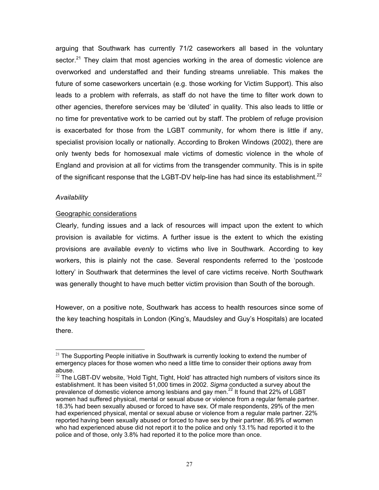arguing that Southwark has currently 71/2 caseworkers all based in the voluntary sector.<sup>21</sup> They claim that most agencies working in the area of domestic violence are overworked and understaffed and their funding streams unreliable. This makes the future of some caseworkers uncertain (e.g. those working for Victim Support). This also leads to a problem with referrals, as staff do not have the time to filter work down to other agencies, therefore services may be 'diluted' in quality. This also leads to little or no time for preventative work to be carried out by staff. The problem of refuge provision is exacerbated for those from the LGBT community, for whom there is little if any, specialist provision locally or nationally. According to Broken Windows (2002), there are only twenty beds for homosexual male victims of domestic violence in the whole of England and provision at all for victims from the transgender community. This is in spite of the significant response that the LGBT-DV help-line has had since its establishment.<sup>22</sup>

## *Availability*

## Geographic considerations

Clearly, funding issues and a lack of resources will impact upon the extent to which provision is available for victims. A further issue is the extent to which the existing provisions are available *evenly* to victims who live in Southwark. According to key workers, this is plainly not the case. Several respondents referred to the 'postcode lottery' in Southwark that determines the level of care victims receive. North Southwark was generally thought to have much better victim provision than South of the borough.

However, on a positive note, Southwark has access to health resources since some of the key teaching hospitals in London (King's, Maudsley and Guy's Hospitals) are located there.

<span id="page-30-0"></span> $21$  The Supporting People initiative in Southwark is currently looking to extend the number of emergency places for those women who need a little time to consider their options away from abuse.

<span id="page-30-1"></span> $22$  The LGBT-DV website, 'Hold Tight, Tight, Hold' has attracted high numbers of visitors since its establishment. It has been visited 51,000 times in 2002. *Sigma* conducted a survey about the prevalence of domestic violence among lesbians and gay men.<sup>22</sup> It found that 22% of LGBT women had suffered physical, mental or sexual abuse or violence from a regular female partner. 18.3% had been sexually abused or forced to have sex. Of male respondents, 29% of the men had experienced physical, mental or sexual abuse or violence from a regular male partner. 22% reported having been sexually abused or forced to have sex by their partner. 86.9% of women who had experienced abuse did not report it to the police and only 13.1% had reported it to the police and of those, only 3.8% had reported it to the police more than once.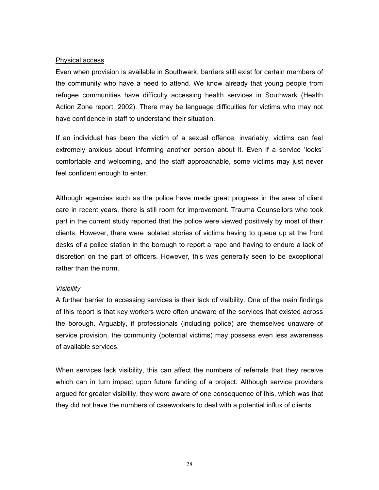#### Physical access

Even when provision is available in Southwark, barriers still exist for certain members of the community who have a need to attend. We know already that young people from refugee communities have difficulty accessing health services in Southwark (Health Action Zone report, 2002). There may be language difficulties for victims who may not have confidence in staff to understand their situation.

If an individual has been the victim of a sexual offence, invariably, victims can feel extremely anxious about informing another person about it. Even if a service 'looks' comfortable and welcoming, and the staff approachable, some victims may just never feel confident enough to enter.

Although agencies such as the police have made great progress in the area of client care in recent years, there is still room for improvement. Trauma Counsellors who took part in the current study reported that the police were viewed positively by most of their clients. However, there were isolated stories of victims having to queue up at the front desks of a police station in the borough to report a rape and having to endure a lack of discretion on the part of officers. However, this was generally seen to be exceptional rather than the norm.

#### *Visibility*

A further barrier to accessing services is their lack of visibility. One of the main findings of this report is that key workers were often unaware of the services that existed across the borough. Arguably, if professionals (including police) are themselves unaware of service provision, the community (potential victims) may possess even less awareness of available services.

When services lack visibility, this can affect the numbers of referrals that they receive which can in turn impact upon future funding of a project. Although service providers argued for greater visibility, they were aware of one consequence of this, which was that they did not have the numbers of caseworkers to deal with a potential influx of clients.

28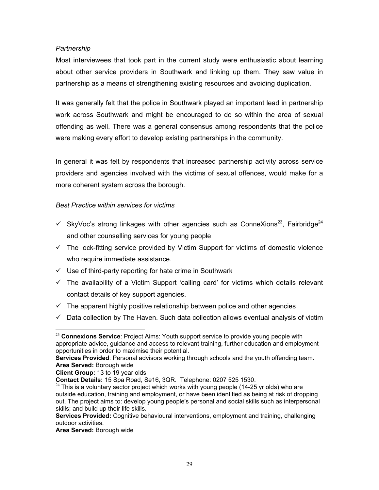## <span id="page-32-1"></span>*Partnership*

Most interviewees that took part in the current study were enthusiastic about learning about other service providers in Southwark and linking up them. They saw value in partnership as a means of strengthening existing resources and avoiding duplication.

It was generally felt that the police in Southwark played an important lead in partnership work across Southwark and might be encouraged to do so within the area of sexual offending as well. There was a general consensus among respondents that the police were making every effort to develop existing partnerships in the community.

In general it was felt by respondents that increased partnership activity across service providers and agencies involved with the victims of sexual offences, would make for a more coherent system across the borough.

## *Best Practice within services for victims*

- $\checkmark$  SkyVoc's strong linkages with other agencies such as ConneXions<sup>23</sup>, Fairbridge<sup>24</sup> and other counselling services for young people
- $\checkmark$  The lock-fitting service provided by Victim Support for victims of domestic violence who require immediate assistance.
- $\checkmark$  Use of third-party reporting for hate crime in Southwark
- $\checkmark$  The availability of a Victim Support 'calling card' for victims which details relevant contact details of key support agencies.
- $\checkmark$  The apparent highly positive relationship between police and other agencies
- $\checkmark$  Data collection by The Haven. Such data collection allows eventual analysis of victim

**Area Served:** Borough wide

<span id="page-32-0"></span> <sup>23</sup> **Connexions Service**: Project Aims: Youth support service to provide young people with appropriate advice, guidance and access to relevant training, further education and employment opportunities in order to maximise their potential.

**Services Provided**: Personal advisors working through schools and the youth offending team. **Area Served:** Borough wide

**Client Group:** 13 to 19 year olds

**Contact Details:** 15 Spa Road, Se16, 3QR. Telephone: 0207 525 1530.

 $24$  This is a voluntary sector project which works with young people (14-25 yr olds) who are outside education, training and employment, or have been identified as being at risk of dropping out. The project aims to: develop young people's personal and social skills such as interpersonal skills; and build up their life skills.

**Services Provided:** Cognitive behavioural interventions, employment and training, challenging outdoor activities.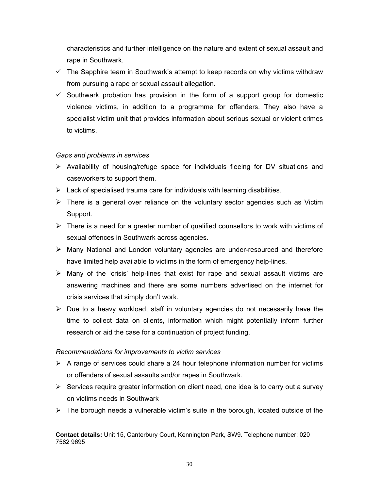characteristics and further intelligence on the nature and extent of sexual assault and rape in Southwark.

- $\checkmark$  The Sapphire team in Southwark's attempt to keep records on why victims withdraw from pursuing a rape or sexual assault allegation.
- $\checkmark$  Southwark probation has provision in the form of a support group for domestic violence victims, in addition to a programme for offenders. They also have a specialist victim unit that provides information about serious sexual or violent crimes to victims.

## *Gaps and problems in services*

- $\triangleright$  Availability of housing/refuge space for individuals fleeing for DV situations and caseworkers to support them.
- $\triangleright$  Lack of specialised trauma care for individuals with learning disabilities.
- $\triangleright$  There is a general over reliance on the voluntary sector agencies such as Victim Support.
- $\triangleright$  There is a need for a greater number of qualified counsellors to work with victims of sexual offences in Southwark across agencies.
- $\triangleright$  Many National and London voluntary agencies are under-resourced and therefore have limited help available to victims in the form of emergency help-lines.
- $\triangleright$  Many of the 'crisis' help-lines that exist for rape and sexual assault victims are answering machines and there are some numbers advertised on the internet for crisis services that simply don't work.
- $\triangleright$  Due to a heavy workload, staff in voluntary agencies do not necessarily have the time to collect data on clients, information which might potentially inform further research or aid the case for a continuation of project funding.

## *Recommendations for improvements to victim services*

 $\overline{a}$ 

- $\triangleright$  A range of services could share a 24 hour telephone information number for victims or offenders of sexual assaults and/or rapes in Southwark.
- $\triangleright$  Services require greater information on client need, one idea is to carry out a survey on victims needs in Southwark
- $\triangleright$  The borough needs a vulnerable victim's suite in the borough, located outside of the

**Contact details:** Unit 15, Canterbury Court, Kennington Park, SW9. Telephone number: 020 7582 9695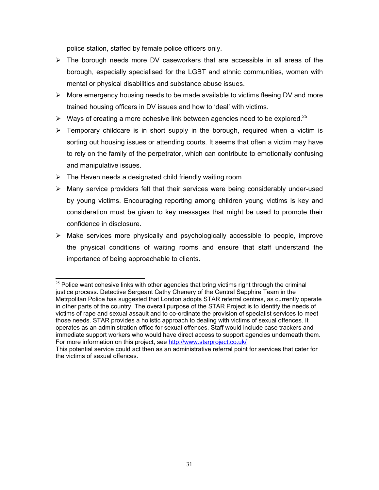police station, staffed by female police officers only.

- $\triangleright$  The borough needs more DV caseworkers that are accessible in all areas of the borough, especially specialised for the LGBT and ethnic communities, women with mental or physical disabilities and substance abuse issues.
- $\triangleright$  More emergency housing needs to be made available to victims fleeing DV and more trained housing officers in DV issues and how to 'deal' with victims.
- $\triangleright$  Ways of creating a more cohesive link between agencies need to be explored.<sup>[25](#page-34-0)</sup>
- $\triangleright$  Temporary childcare is in short supply in the borough, required when a victim is sorting out housing issues or attending courts. It seems that often a victim may have to rely on the family of the perpetrator, which can contribute to emotionally confusing and manipulative issues.
- $\triangleright$  The Haven needs a designated child friendly waiting room
- $\triangleright$  Many service providers felt that their services were being considerably under-used by young victims. Encouraging reporting among children young victims is key and consideration must be given to key messages that might be used to promote their confidence in disclosure.
- $\triangleright$  Make services more physically and psychologically accessible to people, improve the physical conditions of waiting rooms and ensure that staff understand the importance of being approachable to clients.

<span id="page-34-0"></span> $25$  Police want cohesive links with other agencies that bring victims right through the criminal justice process. Detective Sergeant Cathy Chenery of the Central Sapphire Team in the Metrpolitan Police has suggested that London adopts STAR referral centres, as currently operate in other parts of the country. The overall purpose of the STAR Project is to identify the needs of victims of rape and sexual assault and to co-ordinate the provision of specialist services to meet those needs. STAR provides a holistic approach to dealing with victims of sexual offences. It operates as an administration office for sexual offences. Staff would include case trackers and immediate support workers who would have direct access to support agencies underneath them. For more information on this project, see <http://www.starproject.co.uk/>

This potential service could act then as an administrative referral point for services that cater for the victims of sexual offences.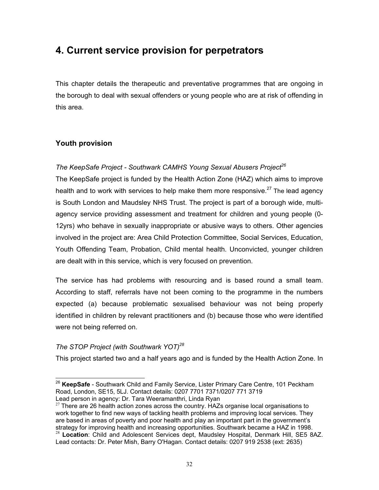# **4. Current service provision for perpetrators**

This chapter details the therapeutic and preventative programmes that are ongoing in the borough to deal with sexual offenders or young people who are at risk of offending in this area.

## **Youth provision**

## *The KeepSafe Project - Southwark CAMHS Young Sexual Abusers Project[26](#page-35-0)*

The KeepSafe project is funded by the Health Action Zone (HAZ) which aims to improve health and to work with services to help make them more responsive. $27$  The lead agency is South London and Maudsley NHS Trust. The project is part of a borough wide, multiagency service providing assessment and treatment for children and young people (0- 12yrs) who behave in sexually inappropriate or abusive ways to others. Other agencies involved in the project are: Area Child Protection Committee, Social Services, Education, Youth Offending Team, Probation, Child mental health. Unconvicted, younger children are dealt with in this service, which is very focused on prevention.

The service has had problems with resourcing and is based round a small team. According to staff, referrals have not been coming to the programme in the numbers expected (a) because problematic sexualised behaviour was not being properly identified in children by relevant practitioners and (b) because those who *were* identified were not being referred on.

## *The STOP Project (with Southwark YOT)[28](#page-35-2)*

This project started two and a half years ago and is funded by the Health Action Zone. In

<span id="page-35-0"></span><sup>26</sup> **KeepSafe** - Southwark Child and Family Service, Lister Primary Care Centre, 101 Peckham Road, London, SE15, 5LJ. Contact details: 0207 7701 7371/0207 771 3719 Lead person in agency: Dr. Tara Weeramanthri, Linda Ryan

<span id="page-35-2"></span><span id="page-35-1"></span> $27$  There are 26 health action zones across the country. HAZs organise local organisations to work together to find new ways of tackling health problems and improving local services. They are based in areas of poverty and poor health and play an important part in the government's strategy for improving health and increasing opportunities. Southwark became a HAZ in 1998. <sup>28</sup> **Location**: Child and Adolescent Services dept, Maudsley Hospital, Denmark Hill, SE5 8AZ. Lead contacts: Dr. Peter Mish, Barry O'Hagan. Contact details: 0207 919 2538 (ext: 2635)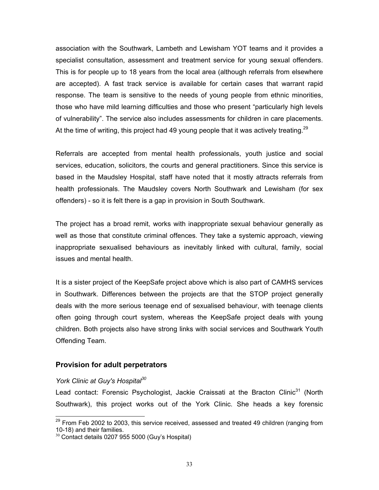association with the Southwark, Lambeth and Lewisham YOT teams and it provides a specialist consultation, assessment and treatment service for young sexual offenders. This is for people up to 18 years from the local area (although referrals from elsewhere are accepted). A fast track service is available for certain cases that warrant rapid response. The team is sensitive to the needs of young people from ethnic minorities, those who have mild learning difficulties and those who present "particularly high levels of vulnerability". The service also includes assessments for children in care placements. At the time of writing, this project had 49 young people that it was actively treating.<sup>[29](#page-36-0)</sup>

Referrals are accepted from mental health professionals, youth justice and social services, education, solicitors, the courts and general practitioners. Since this service is based in the Maudsley Hospital, staff have noted that it mostly attracts referrals from health professionals. The Maudsley covers North Southwark and Lewisham (for sex offenders) - so it is felt there is a gap in provision in South Southwark.

The project has a broad remit, works with inappropriate sexual behaviour generally as well as those that constitute criminal offences. They take a systemic approach, viewing inappropriate sexualised behaviours as inevitably linked with cultural, family, social issues and mental health.

It is a sister project of the KeepSafe project above which is also part of CAMHS services in Southwark. Differences between the projects are that the STOP project generally deals with the more serious teenage end of sexualised behaviour, with teenage clients often going through court system, whereas the KeepSafe project deals with young children. Both projects also have strong links with social services and Southwark Youth Offending Team.

## **Provision for adult perpetrators**

#### *York Clinic at Guy's Hospital[30](#page-36-1)*

<span id="page-36-2"></span>Lead contact: Forensic Psychologist, Jackie Craissati at the Bracton Clinic<sup>31</sup> (North Southwark), this project works out of the York Clinic. She heads a key forensic

<span id="page-36-0"></span> $29$  From Feb 2002 to 2003, this service received, assessed and treated 49 children (ranging from 10-18) and their families.

<span id="page-36-1"></span> $30$  Contact details 0207 955 5000 (Guy's Hospital)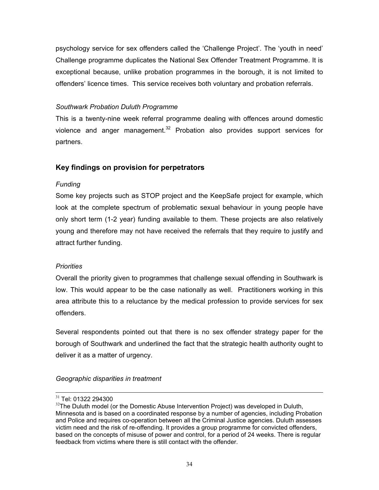psychology service for sex offenders called the 'Challenge Project'. The 'youth in need' Challenge programme duplicates the National Sex Offender Treatment Programme. It is exceptional because, unlike probation programmes in the borough, it is not limited to offenders' licence times. This service receives both voluntary and probation referrals.

## *Southwark Probation Duluth Programme*

This is a twenty-nine week referral programme dealing with offences around domestic violence and anger management. $32$  Probation also provides support services for partners.

## **Key findings on provision for perpetrators**

## *Funding*

Some key projects such as STOP project and the KeepSafe project for example, which look at the complete spectrum of problematic sexual behaviour in young people have only short term (1-2 year) funding available to them. These projects are also relatively young and therefore may not have received the referrals that they require to justify and attract further funding.

## *Priorities*

Overall the priority given to programmes that challenge sexual offending in Southwark is low. This would appear to be the case nationally as well. Practitioners working in this area attribute this to a reluctance by the medical profession to provide services for sex offenders.

Several respondents pointed out that there is no sex offender strategy paper for the borough of Southwark and underlined the fact that the strategic health authority ought to deliver it as a matter of urgency.

*Geographic disparities in treatment* 

<sup>&</sup>lt;sup>31</sup> Tel: 01322 294300

<span id="page-37-0"></span> $32$ The Duluth model (or the Domestic Abuse Intervention Project) was developed in Duluth, Minnesota and is based on a coordinated response by a number of agencies, including Probation and Police and requires co-operation between all the Criminal Justice agencies. Duluth assesses victim need and the risk of re-offending. It provides a group programme for convicted offenders, based on the concepts of misuse of power and control, for a period of 24 weeks. There is regular feedback from victims where there is still contact with the offender.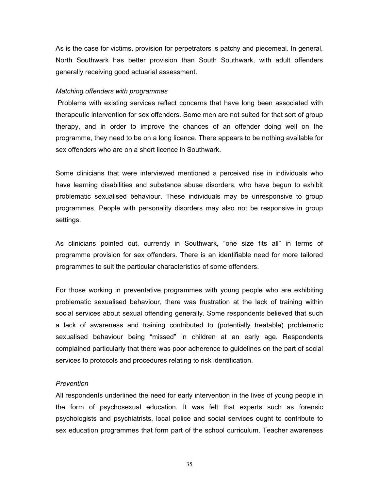As is the case for victims, provision for perpetrators is patchy and piecemeal. In general, North Southwark has better provision than South Southwark, with adult offenders generally receiving good actuarial assessment.

#### *Matching offenders with programmes*

Problems with existing services reflect concerns that have long been associated with therapeutic intervention for sex offenders. Some men are not suited for that sort of group therapy, and in order to improve the chances of an offender doing well on the programme, they need to be on a long licence. There appears to be nothing available for sex offenders who are on a short licence in Southwark.

Some clinicians that were interviewed mentioned a perceived rise in individuals who have learning disabilities and substance abuse disorders, who have begun to exhibit problematic sexualised behaviour. These individuals may be unresponsive to group programmes. People with personality disorders may also not be responsive in group settings.

As clinicians pointed out, currently in Southwark, "one size fits all" in terms of programme provision for sex offenders. There is an identifiable need for more tailored programmes to suit the particular characteristics of some offenders.

For those working in preventative programmes with young people who are exhibiting problematic sexualised behaviour, there was frustration at the lack of training within social services about sexual offending generally. Some respondents believed that such a lack of awareness and training contributed to (potentially treatable) problematic sexualised behaviour being "missed" in children at an early age. Respondents complained particularly that there was poor adherence to guidelines on the part of social services to protocols and procedures relating to risk identification.

#### *Prevention*

All respondents underlined the need for early intervention in the lives of young people in the form of psychosexual education. It was felt that experts such as forensic psychologists and psychiatrists, local police and social services ought to contribute to sex education programmes that form part of the school curriculum. Teacher awareness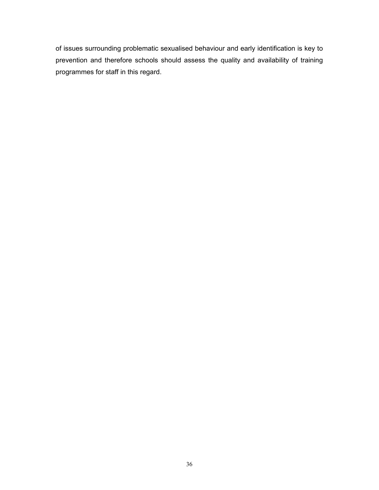of issues surrounding problematic sexualised behaviour and early identification is key to prevention and therefore schools should assess the quality and availability of training programmes for staff in this regard.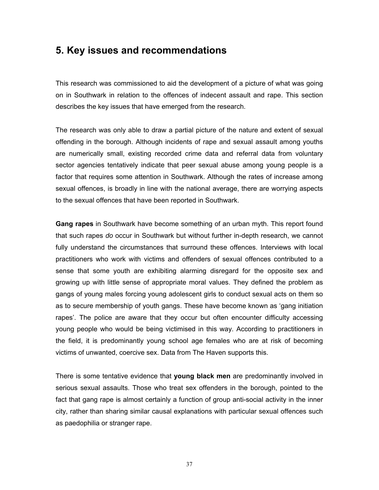## **5. Key issues and recommendations**

This research was commissioned to aid the development of a picture of what was going on in Southwark in relation to the offences of indecent assault and rape. This section describes the key issues that have emerged from the research.

The research was only able to draw a partial picture of the nature and extent of sexual offending in the borough. Although incidents of rape and sexual assault among youths are numerically small, existing recorded crime data and referral data from voluntary sector agencies tentatively indicate that peer sexual abuse among young people is a factor that requires some attention in Southwark. Although the rates of increase among sexual offences, is broadly in line with the national average, there are worrying aspects to the sexual offences that have been reported in Southwark.

**Gang rapes** in Southwark have become something of an urban myth. This report found that such rapes *do* occur in Southwark but without further in-depth research, we cannot fully understand the circumstances that surround these offences. Interviews with local practitioners who work with victims and offenders of sexual offences contributed to a sense that some youth are exhibiting alarming disregard for the opposite sex and growing up with little sense of appropriate moral values. They defined the problem as gangs of young males forcing young adolescent girls to conduct sexual acts on them so as to secure membership of youth gangs. These have become known as 'gang initiation rapes'. The police are aware that they occur but often encounter difficulty accessing young people who would be being victimised in this way. According to practitioners in the field, it is predominantly young school age females who are at risk of becoming victims of unwanted, coercive sex. Data from The Haven supports this.

There is some tentative evidence that **young black men** are predominantly involved in serious sexual assaults. Those who treat sex offenders in the borough, pointed to the fact that gang rape is almost certainly a function of group anti-social activity in the inner city, rather than sharing similar causal explanations with particular sexual offences such as paedophilia or stranger rape.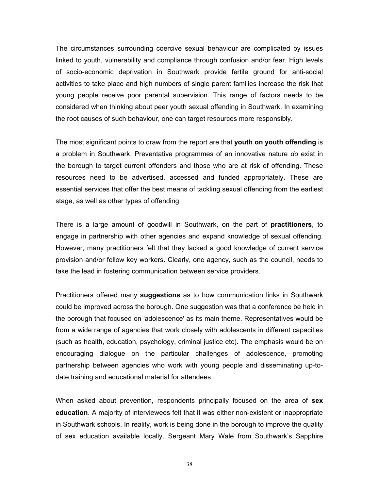The circumstances surrounding coercive sexual behaviour are complicated by issues linked to youth, vulnerability and compliance through confusion and/or fear. High levels of socio-economic deprivation in Southwark provide fertile ground for anti-social activities to take place and high numbers of single parent families increase the risk that young people receive poor parental supervision. This range of factors needs to be considered when thinking about peer youth sexual offending in Southwark. In examining the root causes of such behaviour, one can target resources more responsibly.

The most significant points to draw from the report are that **youth on youth offending** is a problem in Southwark. Preventative programmes of an innovative nature *do* exist in the borough to target current offenders and those who are at risk of offending. These resources need to be advertised, accessed and funded appropriately. These are essential services that offer the best means of tackling sexual offending from the earliest stage, as well as other types of offending.

There is a large amount of goodwill in Southwark, on the part of **practitioners**, to engage in partnership with other agencies and expand knowledge of sexual offending. However, many practitioners felt that they lacked a good knowledge of current service provision and/or fellow key workers. Clearly, one agency, such as the council, needs to take the lead in fostering communication between service providers.

Practitioners offered many **suggestions** as to how communication links in Southwark could be improved across the borough. One suggestion was that a conference be held in the borough that focused on 'adolescence' as its main theme. Representatives would be from a wide range of agencies that work closely with adolescents in different capacities (such as health, education, psychology, criminal justice etc). The emphasis would be on encouraging dialogue on the particular challenges of adolescence, promoting partnership between agencies who work with young people and disseminating up-todate training and educational material for attendees.

When asked about prevention, respondents principally focused on the area of **sex education**. A majority of interviewees felt that it was either non-existent or inappropriate in Southwark schools. In reality, work is being done in the borough to improve the quality of sex education available locally. Sergeant Mary Wale from Southwark's Sapphire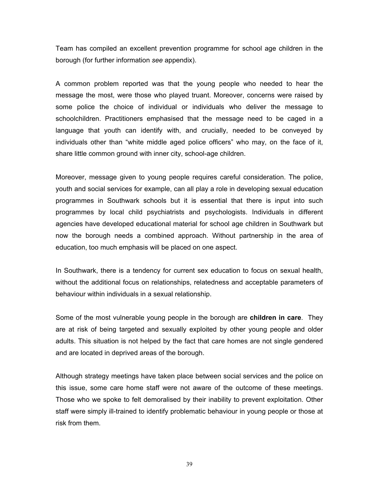Team has compiled an excellent prevention programme for school age children in the borough (for further information *see* appendix).

A common problem reported was that the young people who needed to hear the message the most, were those who played truant. Moreover, concerns were raised by some police the choice of individual or individuals who deliver the message to schoolchildren. Practitioners emphasised that the message need to be caged in a language that youth can identify with, and crucially, needed to be conveyed by individuals other than "white middle aged police officers" who may, on the face of it, share little common ground with inner city, school-age children.

Moreover, message given to young people requires careful consideration. The police, youth and social services for example, can all play a role in developing sexual education programmes in Southwark schools but it is essential that there is input into such programmes by local child psychiatrists and psychologists. Individuals in different agencies have developed educational material for school age children in Southwark but now the borough needs a combined approach. Without partnership in the area of education, too much emphasis will be placed on one aspect.

In Southwark, there is a tendency for current sex education to focus on sexual health, without the additional focus on relationships, relatedness and acceptable parameters of behaviour within individuals in a sexual relationship.

Some of the most vulnerable young people in the borough are **children in care**. They are at risk of being targeted and sexually exploited by other young people and older adults. This situation is not helped by the fact that care homes are not single gendered and are located in deprived areas of the borough.

Although strategy meetings have taken place between social services and the police on this issue, some care home staff were not aware of the outcome of these meetings. Those who we spoke to felt demoralised by their inability to prevent exploitation. Other staff were simply ill-trained to identify problematic behaviour in young people or those at risk from them.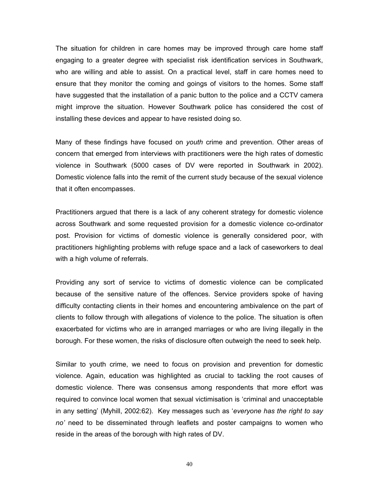The situation for children in care homes may be improved through care home staff engaging to a greater degree with specialist risk identification services in Southwark, who are willing and able to assist. On a practical level, staff in care homes need to ensure that they monitor the coming and goings of visitors to the homes. Some staff have suggested that the installation of a panic button to the police and a CCTV camera might improve the situation. However Southwark police has considered the cost of installing these devices and appear to have resisted doing so.

Many of these findings have focused on *youth* crime and prevention. Other areas of concern that emerged from interviews with practitioners were the high rates of domestic violence in Southwark (5000 cases of DV were reported in Southwark in 2002). Domestic violence falls into the remit of the current study because of the sexual violence that it often encompasses.

Practitioners argued that there is a lack of any coherent strategy for domestic violence across Southwark and some requested provision for a domestic violence co-ordinator post. Provision for victims of domestic violence is generally considered poor, with practitioners highlighting problems with refuge space and a lack of caseworkers to deal with a high volume of referrals.

Providing any sort of service to victims of domestic violence can be complicated because of the sensitive nature of the offences. Service providers spoke of having difficulty contacting clients in their homes and encountering ambivalence on the part of clients to follow through with allegations of violence to the police. The situation is often exacerbated for victims who are in arranged marriages or who are living illegally in the borough. For these women, the risks of disclosure often outweigh the need to seek help.

Similar to youth crime, we need to focus on provision and prevention for domestic violence. Again, education was highlighted as crucial to tackling the root causes of domestic violence. There was consensus among respondents that more effort was required to convince local women that sexual victimisation is 'criminal and unacceptable in any setting' (Myhill, 2002:62). Key messages such as '*everyone has the right to say no'* need to be disseminated through leaflets and poster campaigns to women who reside in the areas of the borough with high rates of DV.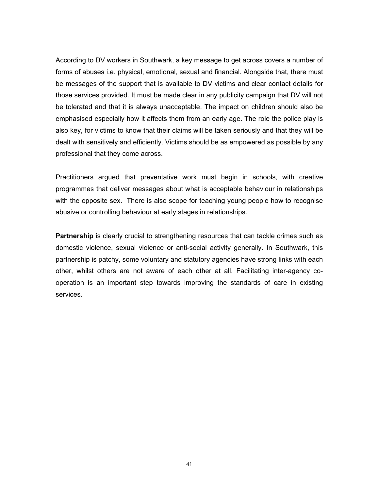According to DV workers in Southwark, a key message to get across covers a number of forms of abuses i.e. physical, emotional, sexual and financial. Alongside that, there must be messages of the support that is available to DV victims and clear contact details for those services provided. It must be made clear in any publicity campaign that DV will not be tolerated and that it is always unacceptable. The impact on children should also be emphasised especially how it affects them from an early age. The role the police play is also key, for victims to know that their claims will be taken seriously and that they will be dealt with sensitively and efficiently. Victims should be as empowered as possible by any professional that they come across.

Practitioners argued that preventative work must begin in schools, with creative programmes that deliver messages about what is acceptable behaviour in relationships with the opposite sex. There is also scope for teaching young people how to recognise abusive or controlling behaviour at early stages in relationships.

**Partnership** is clearly crucial to strengthening resources that can tackle crimes such as domestic violence, sexual violence or anti-social activity generally. In Southwark, this partnership is patchy, some voluntary and statutory agencies have strong links with each other, whilst others are not aware of each other at all. Facilitating inter-agency cooperation is an important step towards improving the standards of care in existing services.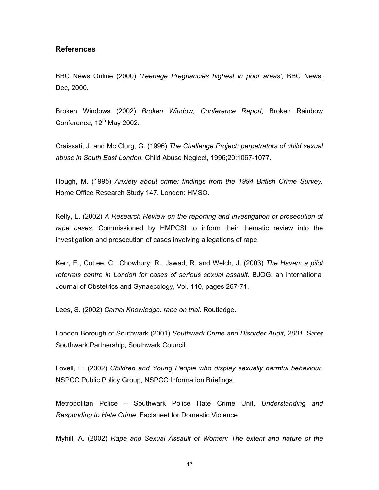## **References**

BBC News Online (2000) *'Teenage Pregnancies highest in poor areas',* BBC News, Dec, 2000.

Broken Windows (2002) *Broken Window, Conference Report,* Broken Rainbow Conference,  $12<sup>th</sup>$  May 2002.

Craissati, J. and Mc Clurg, G. (1996) *The Challenge Project: perpetrators of child sexual abuse in South East London.* Child Abuse Neglect, 1996;20:1067-1077.

Hough, M. (1995) *Anxiety about crime: findings from the 1994 British Crime Survey.* Home Office Research Study 147. London: HMSO.

Kelly, L. (2002) *A Research Review on the reporting and investigation of prosecution of rape cases.* Commissioned by HMPCSI to inform their thematic review into the investigation and prosecution of cases involving allegations of rape.

Kerr, E., Cottee, C., Chowhury, R., Jawad, R. and Welch, J. (2003) *The Haven: a pilot referrals centre in London for cases of serious sexual assault.* BJOG: an international Journal of Obstetrics and Gynaecology, Vol. 110, pages 267-71.

Lees, S. (2002) *Carnal Knowledge: rape on trial.* Routledge.

London Borough of Southwark (2001) *Southwark Crime and Disorder Audit, 2001*. Safer Southwark Partnership, Southwark Council.

Lovell, E. (2002) *Children and Young People who display sexually harmful behaviour.* NSPCC Public Policy Group, NSPCC Information Briefings.

Metropolitan Police – Southwark Police Hate Crime Unit. *Understanding and Responding to Hate Crime*. Factsheet for Domestic Violence.

Myhill, A. (2002) *Rape and Sexual Assault of Women: The extent and nature of the*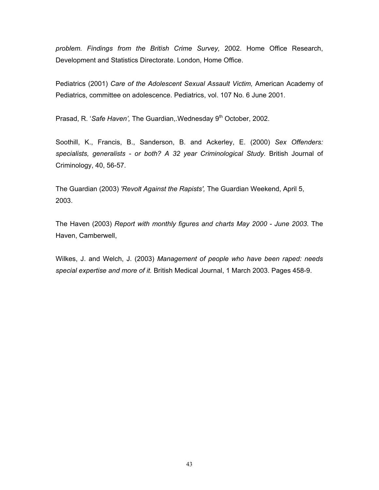*problem. Findings from the British Crime Survey,* 2002. Home Office Research, Development and Statistics Directorate. London, Home Office.

Pediatrics (2001) *Care of the Adolescent Sexual Assault Victim,* American Academy of Pediatrics, committee on adolescence. Pediatrics, vol. 107 No. 6 June 2001.

Prasad, R. '*Safe Haven'*, The Guardian,.Wednesday 9<sup>th</sup> October, 2002.

Soothill, K., Francis, B., Sanderson, B. and Ackerley, E. (2000) *Sex Offenders: specialists, generalists - or both? A 32 year Criminological Study.* British Journal of Criminology, 40, 56-57.

The Guardian (2003) *'Revolt Against the Rapists',* The Guardian Weekend, April 5, 2003.

The Haven (2003) *Report with monthly figures and charts May 2000 - June 2003*. The Haven, Camberwell,

Wilkes, J. and Welch, J. (2003) *Management of people who have been raped: needs special expertise and more of it.* British Medical Journal, 1 March 2003. Pages 458-9.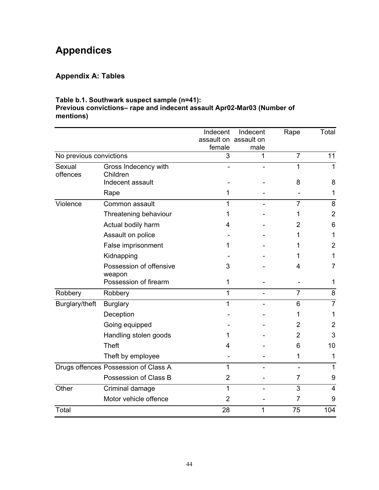# **Appendices**

## **Appendix A: Tables**

## **Table b.1. Southwark suspect sample (n=41):**

#### **Previous convictions– rape and indecent assault Apr02-Mar03 (Number of mentions)**

|                         |                                      | Indecent       | Indecent              | Rape           | Total          |
|-------------------------|--------------------------------------|----------------|-----------------------|----------------|----------------|
|                         |                                      |                | assault on assault on |                |                |
| No previous convictions |                                      | female<br>3    | male<br>1             | $\overline{7}$ | 11             |
|                         |                                      |                |                       |                |                |
| Sexual<br>offences      | Gross Indecency with<br>Children     |                |                       | 1              | $\mathbf{1}$   |
|                         | Indecent assault                     |                |                       | 8              | 8              |
|                         | Rape                                 | 1              |                       |                | 1              |
| Violence                | Common assault                       |                |                       | 7              | 8              |
|                         | Threatening behaviour                | 1              |                       | 1              | $\overline{2}$ |
|                         | Actual bodily harm                   | 4              |                       | 2              | 6              |
|                         | Assault on police                    |                |                       | 1              | 1              |
|                         | False imprisonment                   | 1              |                       |                | $\overline{2}$ |
|                         | Kidnapping                           |                |                       |                | 1              |
|                         | Possession of offensive<br>weapon    | 3              |                       | 4              | 7              |
|                         | Possession of firearm                | 1              |                       |                | 1              |
| Robbery                 | Robbery                              | 1              |                       | 7              | 8              |
| Burglary/theft          | <b>Burglary</b>                      | 1              |                       | 6              | $\overline{7}$ |
|                         | Deception                            |                |                       | 1              | 1              |
|                         | Going equipped                       |                |                       | 2              | 2              |
|                         | Handling stolen goods                |                |                       | $\overline{2}$ | 3              |
|                         | <b>Theft</b>                         | 4              |                       | 6              | 10             |
|                         | Theft by employee                    |                |                       | 1              | 1              |
|                         | Drugs offences Possession of Class A | 1              |                       |                | 1              |
|                         | Possession of Class B                | $\overline{2}$ |                       | 7              | 9              |
| Other                   | Criminal damage                      | 1              |                       | 3              | $\overline{4}$ |
|                         | Motor vehicle offence                | $\overline{2}$ |                       | 7              | 9              |
| Total                   |                                      | 28             | 1                     | 75             | 104            |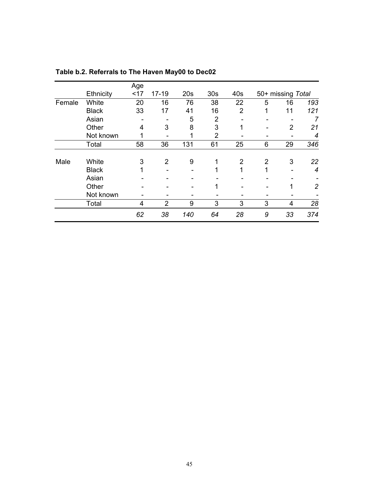|        |              | Age |                |     |                 |                |                   |    |                |
|--------|--------------|-----|----------------|-----|-----------------|----------------|-------------------|----|----------------|
|        | Ethnicity    | <17 | $17-19$        | 20s | 30 <sub>s</sub> | 40s            | 50+ missing Total |    |                |
| Female | White        | 20  | 16             | 76  | 38              | 22             | 5                 | 16 | 193            |
|        | <b>Black</b> | 33  | 17             | 41  | 16              | $\overline{2}$ | 1                 | 11 | 121            |
|        | Asian        |     |                | 5   | $\overline{2}$  |                |                   |    | 7              |
|        | Other        | 4   | 3              | 8   | 3               | 1              | -                 | 2  | 21             |
|        | Not known    | 1   |                | 1   | $\overline{2}$  |                |                   |    | 4              |
|        | Total        | 58  | 36             | 131 | 61              | 25             | 6                 | 29 | 346            |
| Male   | White        | 3   | $\overline{2}$ | 9   | 1               | $\overline{2}$ | $\overline{2}$    | 3  | 22             |
|        | <b>Black</b> | 1   |                |     | 1               | 1              | 1                 |    | 4              |
|        | Asian        |     |                |     |                 |                |                   |    |                |
|        | Other        |     |                |     | 1               |                |                   | 1  | $\overline{c}$ |
|        | Not known    |     |                |     |                 |                |                   |    |                |
|        | Total        | 4   | $\overline{2}$ | 9   | 3               | 3              | 3                 | 4  | 28             |
|        |              | 62  | 38             | 140 | 64              | 28             | 9                 | 33 | 374            |

**Table b.2. Referrals to The Haven May00 to Dec02**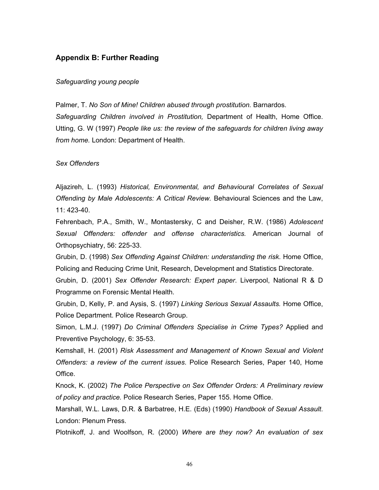## **Appendix B: Further Reading**

#### *Safeguarding young people*

Palmer, T. *No Son of Mine! Children abused through prostitution.* Barnardos. *Safeguarding Children involved in Prostitution,* Department of Health, Home Office. Utting, G. W (1997) *People like us: the review of the safeguards for children living away from home.* London: Department of Health.

*Sex Offenders*

Aljazireh, L. (1993) *Historical, Environmental, and Behavioural Correlates of Sexual Offending by Male Adolescents: A Critical Review.* Behavioural Sciences and the Law, 11: 423-40.

Fehrenbach, P.A., Smith, W., Montastersky, C and Deisher, R.W. (1986) *Adolescent Sexual Offenders: offender and offense characteristics.* American Journal of Orthopsychiatry, 56: 225-33.

Grubin, D. (1998) *Sex Offending Against Children: understanding the risk*. Home Office, Policing and Reducing Crime Unit, Research, Development and Statistics Directorate.

Grubin, D. (2001) *Sex Offender Research: Expert paper*. Liverpool, National R & D Programme on Forensic Mental Health.

Grubin, D, Kelly, P. and Aysis, S. (1997) *Linking Serious Sexual Assaults.* Home Office, Police Department. Police Research Group.

Simon, L.M.J. (1997) *Do Criminal Offenders Specialise in Crime Types?* Applied and Preventive Psychology, 6: 35-53.

Kemshall, H. (2001) *Risk Assessment and Management of Known Sexual and Violent Offenders: a review of the current issues*. Police Research Series, Paper 140, Home Office.

Knock, K. (2002) *The Police Perspective on Sex Offender Orders: A Preliminary review of policy and practice.* Police Research Series, Paper 155. Home Office.

Marshall, W.L. Laws, D.R. & Barbatree, H.E. (Eds) (1990) *Handbook of Sexual Assault*. London: Plenum Press.

Plotnikoff, J. and Woolfson, R. (2000) *Where are they now? An evaluation of sex*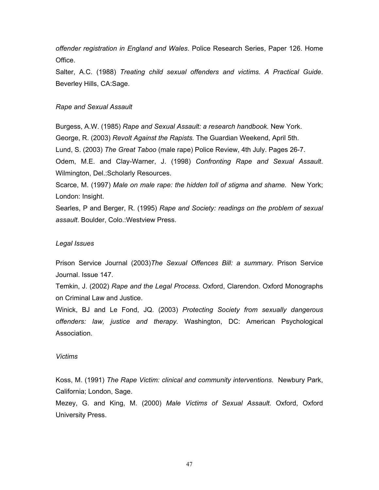*offender registration in England and Wales*. Police Research Series, Paper 126. Home Office.

Salter, A.C. (1988) *Treating child sexual offenders and victims. A Practical Guide*. Beverley Hills, CA:Sage.

## *Rape and Sexual Assault*

Burgess, A.W. (1985) *Rape and Sexual Assault: a research handbook.* New York. George, R. (2003) *Revolt Against the Rapists.* The Guardian Weekend, April 5th. Lund, S. (2003) *The Great Taboo* (male rape) Police Review, 4th July. Pages 26-7. Odem, M.E. and Clay-Warner, J. (1998) *Confronting Rape and Sexual Assault*. Wilmington, Del.:Scholarly Resources.

Scarce, M. (1997) *Male on male rape: the hidden toll of stigma and shame.* New York; London: Insight.

Searles, P and Berger, R. (1995) *Rape and Society: readings on the problem of sexual assault*. Boulder, Colo.:Westview Press.

## *Legal Issues*

Prison Service Journal (2003)*The Sexual Offences Bill: a summary.* Prison Service Journal. Issue 147.

Temkin, J. (2002) *Rape and the Legal Process.* Oxford, Clarendon. Oxford Monographs on Criminal Law and Justice.

Winick, BJ and Le Fond, JQ. (2003) *Protecting Society from sexually dangerous offenders: law, justice and therapy.* Washington, DC: American Psychological Association.

#### *Victims*

Koss, M. (1991) *The Rape Victim: clinical and community interventions.* Newbury Park, California; London, Sage.

Mezey, G. and King, M. (2000) *Male Victims of Sexual Assault.* Oxford, Oxford University Press.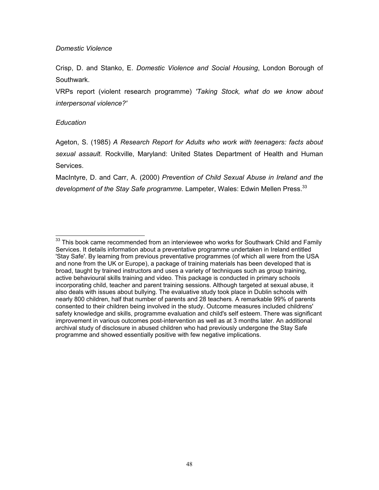## *Domestic Violence*

Crisp, D. and Stanko, E. *Domestic Violence and Social Housing*, London Borough of Southwark.

VRPs report (violent research programme) *'Taking Stock, what do we know about interpersonal violence?'* 

## *Education*

Ageton, S. (1985) *A Research Report for Adults who work with teenagers: facts about sexual assault.* Rockville, Maryland: United States Department of Health and Human Services.

MacIntyre, D. and Carr, A. (2000) *Prevention of Child Sexual Abuse in Ireland and the*  development of the Stay Safe programme. Lampeter, Wales: Edwin Mellen Press.<sup>33</sup>

<span id="page-51-0"></span> $33$  This book came recommended from an interviewee who works for Southwark Child and Family Services. It details information about a preventative programme undertaken in Ireland entitled 'Stay Safe'. By learning from previous preventative programmes (of which all were from the USA and none from the UK or Europe), a package of training materials has been developed that is broad, taught by trained instructors and uses a variety of techniques such as group training, active behavioural skills training and video. This package is conducted in primary schools incorporating child, teacher and parent training sessions. Although targeted at sexual abuse, it also deals with issues about bullying. The evaluative study took place in Dublin schools with nearly 800 children, half that number of parents and 28 teachers. A remarkable 99% of parents consented to their children being involved in the study. Outcome measures included childrens' safety knowledge and skills, programme evaluation and child's self esteem. There was significant improvement in various outcomes post-intervention as well as at 3 months later. An additional archival study of disclosure in abused children who had previously undergone the Stay Safe programme and showed essentially positive with few negative implications.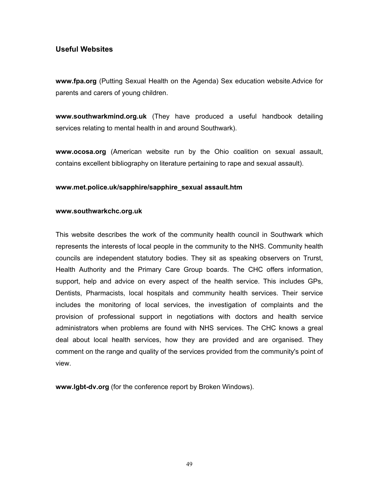## **Useful Websites**

**www.fpa.org** (Putting Sexual Health on the Agenda) Sex education website.Advice for parents and carers of young children.

**www.southwarkmind.org.uk** (They have produced a useful handbook detailing services relating to mental health in and around Southwark).

**www.ocosa.org** (American website run by the Ohio coalition on sexual assault, contains excellent bibliography on literature pertaining to rape and sexual assault).

## **www.met.police.uk/sapphire/sapphire\_sexual assault.htm**

## **www.southwarkchc.org.uk**

This website describes the work of the community health council in Southwark which represents the interests of local people in the community to the NHS. Community health councils are independent statutory bodies. They sit as speaking observers on Trurst, Health Authority and the Primary Care Group boards. The CHC offers information, support, help and advice on every aspect of the health service. This includes GPs, Dentists, Pharmacists, local hospitals and community health services. Their service includes the monitoring of local services, the investigation of complaints and the provision of professional support in negotiations with doctors and health service administrators when problems are found with NHS services. The CHC knows a greal deal about local health services, how they are provided and are organised. They comment on the range and quality of the services provided from the community's point of view.

**www.lgbt-dv.org** (for the conference report by Broken Windows).